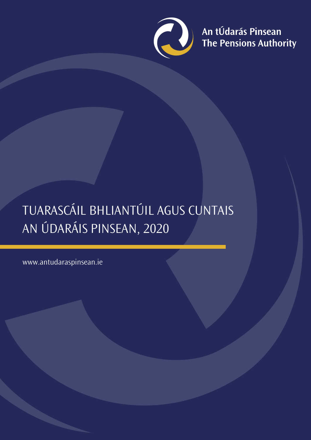

An tÚdarás Pinsean<br>The Pensions Authority

# TUARASCÁIL BHLIANTÚIL AGUS CUNTAIS AN ÚDARÁIS PINSEAN, 2020

www.antudaraspinsean.ie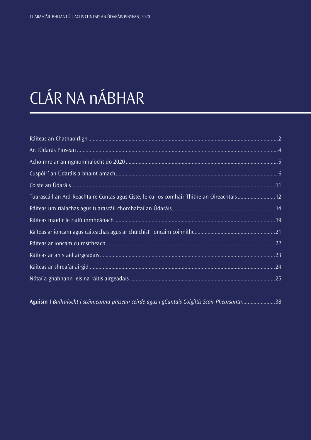# CLÁR NA nÁBHAR

| Tuarascáil an Ard-Reachtaire Cuntas agus Ciste, le cur os comhair Thithe an Oireachtais12 |  |
|-------------------------------------------------------------------------------------------|--|
|                                                                                           |  |
|                                                                                           |  |
|                                                                                           |  |
|                                                                                           |  |
|                                                                                           |  |
|                                                                                           |  |
|                                                                                           |  |
|                                                                                           |  |
|                                                                                           |  |
|                                                                                           |  |
|                                                                                           |  |
|                                                                                           |  |

**Aguisín I** *Ballraíocht i scéimeanna pinsean ceirde agus i gCuntais Coigiltis Scoir Phearsanta*.......................38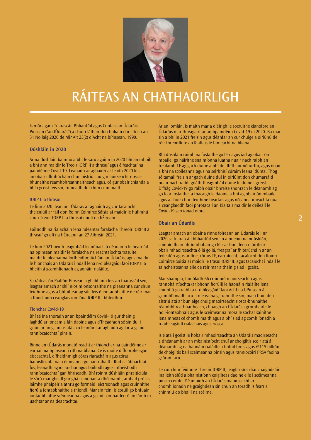<span id="page-2-0"></span>

## RÁITEAS AN CHATHAOIRLIGH

Is mór agam Tuarascáil Bhliantúil agus Cuntais an Údaráis Pinsean ("an tÚdarás") a chur i láthair don bhliain dar críoch an 31 Nollaig 2020 de réir Alt 23(2) d'Acht na bPinsean, 1990.

#### **Dúshláin in 2020**

Ar na dúshláin ba mhó a bhí le sárú againn in 2020 bhí an mhoill a bhí ann maidir le Treoir IORP II a thrasuí agus éifeachtaí na paindéime Covid-19. Leanadh ar aghaidh ar feadh 2020 leis an obair ullmhúcháin chun aistriú chuig maoirseacht rioscabhunaithe réamhbhreathnaitheach agus, cé gur obair chianda a bhí i gceist leis sin, rinneadh dul chun cinn maith.

#### IORP II a thrasuí

Le linn 2020, lean an tÚdarás ar aghaidh ag cur tacaíocht theicniúil ar fáil don Roinn Coimirce Sóisialaí maidir le hullmhú chun Treoir IORP II a thrasuí i ndlí na hÉireann.

Foilsíodh na rialacháin lena ndéantar forálacha Threoir IORP II a thrasuí go dlí na hÉireann an 27 Aibreán 2021.

Le linn 2021 beidh teagmháil leanúnach á déanamh le hearnáil na bpinsean maidir le forálacha na reachtaíochta trasuite, maidir le pleananna forfheidhmiúcháin an Údaráis, agus maidir le hionchais an Údaráis i ndáil lena n-oibleagáidí faoi IORP II a bheith á gcomhlíonadh ag aonáin rialáilte.

Sa ráiteas ón Rialtóir Pinsean a ghabhann leis an tuarascáil seo, leagtar amach ar shlí níos mionsonraithe na pleananna cur chun feidhme agus a bhfuiltear ag súil leis ó iontaobhaithe de réir mar a thiocfaidh ceanglais iomlána IORP II i bhfeidhm.

#### Tionchar Covid-19

Bhí sé ina thoradh ar an bpaindéim Covid-19 gur tháinig laghdú ar ioncam a lán daoine agus d'fhéadfadh sé sin dul i gcion ar an gcumas atá acu leanúint ar aghaidh ag íoc a gcuid ranníocaíochtaí pinsin.

Rinne an tÚdarás monatóireacht ar thionchar na paindéime ar earnáil na bpinsean i rith na bliana. Cé is moite d'fhíorbheagán eisceachtaí, d'fheidhmigh córas riaracháin agus córas bainistíochta na scéimeanna go han-mhaith. Rud is tábhachtaí fós, leanadh ag íoc sochar agus bailíodh agus infheistíodh ranníocaíochtaí gan bhriseadh. Bhí roinnt dúshláin phraiticiúla le sárú mar gheall gur ghá cianobair a dhéanamh, amhail próisis láimhe pháipéir a athrú go formáid leictreonach agus cruinnithe fíorúla iontaobhaithe a thionól. Mar sin féin, is cosúil go bhfuair iontaobhaithe scéimeanna agus a gcuid comhairleoirí an lámh in uachtar ar na deacrachtaí.

Ar an iomlán, is maith mar a d'éirigh le socruithe cianoibre an Údaráis mar fhreagairt ar an bpaindéim Covid-19 in 2020. Ba mar sin a bhí in 2021 freisin agus déanfar an cur chuige a oiriúnú de réir threoirlínte an Rialtais le himeacht na bliana.

Bhí dúshláin roimh na fostaithe go léir agus iad ag obair ón mbaile, go háirithe sna míonna luatha nuair nach raibh an trealamh TF ag gach duine a bhí de dhíth air nó uirthi, agus nuair a bhí na scoileanna agus na seirbhísí cúraim leanaí dúnta. Thóg sé tamall freisin ar gach duine dul in oiriúint don chumarsáid nuair nach raibh gnáth-theagmháil duine le duine i gceist. D'fhág Covid-19 go raibh obair bhreise shonrach le déanamh ag go leor fostaithe, a thacaigh le daoine a bhí ag obair ón mbaile agus a chuir chun feidhme beartais agus nósanna imeachta nua a ceanglaíodh faoi phrótacail an Rialtais maidir le déileáil le Covid-19 san ionad oibre.

## **Obair an Údaráis**

Leagtar amach an obair a rinne foireann an Údaráis le linn 2020 sa tuarascáil bhliantúil seo. In ainneoin na ndúshlán, coinníodh an phríomhobair go léir ar bun, lena n-áirítear obair mhaoirseachta ó lá go lá, freagraí ar fhiosrúcháin ar an teileafón agus ar líne, córais TF, earcaíocht, tacaíocht don Roinn Coimirce Sóisialaí maidir le trasuí IORP II, agus tacaíocht i ndáil le saincheisteanna eile de réir mar a tháinig siad i gceist.

Mar shampla, tionóladh 66 cruinniú maoirseachta agus rannpháirtíochta (ar bhonn fíorúil) le haonáin rialáilte lena chinntiú go raibh a n-oibleagáidí faoi Acht na bPinsean á gcomhlíonadh acu. I measc na gcruinnithe sin, mar chuid den aistriú atá ar bun aige chuig maoirseacht riosca-bhunaithe réamhbhreathnaitheach, chuaigh an tÚdarás i gcomhairle le holl-iontaobhais agus le scéimeanna móra le sochar sainithe lena mheas cé chomh maith agus a bhí siad ag comhlíonadh a n-oibleagáidí rialachais agus riosca.

Is é atá i gceist le hobair mhaoirseachta an Údaráis maoirseacht a dhéanamh ar an mbainistíocht chuí ar choigiltis scoir atá á déanamh ag na haonáin rialáilte a bhfuil breis agus €115 billiún de choigiltis ball scéimeanna pinsin agus ranníocóirí PRSA faoina gcúram acu.

Le cur chun feidhme Threoir IORP II, leagfar síos dianchaighdeáin ina leith siúd a bhainistíonn coigilteas daoine eile i scéimeanna pinsin ceirde. Déanfaidh an tÚdarás maoirseacht ar chomhlíonadh na gcaighdeán sin chun an toradh is fearr a chinntiú do bhaill na scéime.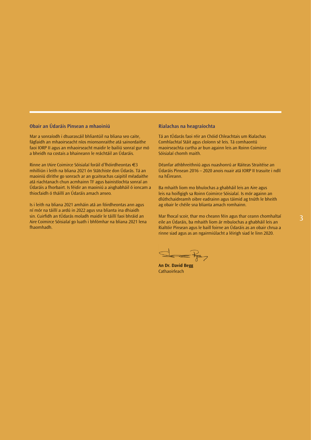## **Obair an Údaráis Pinsean a mhaoiniú**

Mar a sonraíodh i dtuarascáil bhliantúil na bliana seo caite, fágfaidh an mhaoirseacht níos mionsonraithe atá sainordaithe faoi IORP II agus an mhaoirseacht maidir le bailiú sonraí gur mó a bheidh na costais a bhaineann le reáchtáil an Údaráis.

Rinne an tAire Coimirce Sóisialaí foráil d'fhóirdheontas €3 mhilliún i leith na bliana 2021 ón Státchiste don Údarás. Tá an maoiniú dírithe go sonrach ar an gcaiteachas caipitil méadaithe atá riachtanach chun acmhainn TF agus bainistíochta sonraí an Údaráis a fhorbairt. Is féidir an maoiniú a aisghabháil ó ioncam a thiocfaidh ó tháillí an Údaráis amach anseo.

Is i leith na bliana 2021 amháin atá an fóirdheontas ann agus ní mór na táillí a ardú in 2022 agus sna blianta ina dhiaidh sin. Cuirfidh an tÚdarás moladh maidir le táillí faoi bhráid an Aire Coimirce Sóisialaí go luath i bhfómhar na bliana 2021 lena fhaomhadh.

## **Rialachas na heagraíochta**

Tá an tÚdarás faoi réir an Chóid Chleachtais um Rialachas Comhlachtaí Stáit agus cloíonn sé leis. Tá comhaontú maoirseachta curtha ar bun againn leis an Roinn Coimirce Sóisialaí chomh maith.

Déanfar athbhreithniú agus nuashonrú ar Ráiteas Straitéise an Údaráis Pinsean 2016 – 2020 anois nuair atá IORP II trasuite i ndlí na hÉireann.

Ba mhaith liom mo bhuíochas a ghabháil leis an Aire agus leis na hoifigigh sa Roinn Coimirce Sóisialaí. Is mór againn an dlúthchaidreamh oibre eadrainn agus táimid ag tnúth le bheith ag obair le chéile sna blianta amach romhainn.

Mar fhocal scoir, thar mo cheann féin agus thar ceann chomhaltaí eile an Údaráis, ba mhaith liom ár mbuíochas a ghabháil leis an Rialtóir Pinsean agus le baill foirne an Údaráis as an obair chrua a rinne siad agus as an ngairmiúlacht a léirigh siad le linn 2020.

**An Dr. David Begg Cathaoirleach**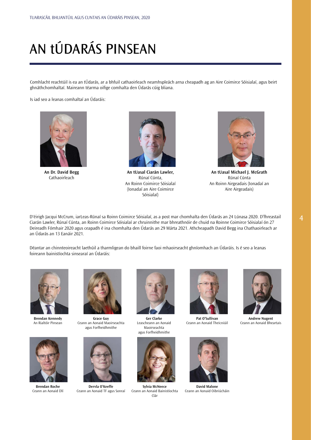# <span id="page-4-0"></span>AN tÚDARÁS PINSEAN

Comhlacht reachtúil is ea an tÚdarás, ar a bhfuil cathaoirleach neamhspleách arna cheapadh ag an Aire Coimirce Sóisialaí, agus beirt ghnáthchomhaltaí. Maireann téarma oifige comhalta den Údarás cúig bliana.

Is iad seo a leanas comhaltaí an Údaráis:



**An Dr. David Begg** Cathaoirleach



**An tUasal Ciarán Lawler,**  Rúnaí Cúnta, An Roinn Coimirce Sóisialaí (Ionadaí an Aire Coimirce Sóisialaí)



**An tUasal Michael J. McGrath** Rúnaí Cúnta An Roinn Airgeadais (Ionadaí an Aire Airgeadais)

D'éirigh Jacqui McCrum, iarLeas-Rúnaí sa Roinn Coimirce Sóisialaí, as a post mar chomhalta den Údarás an 24 Lúnasa 2020. D'fhreastail Ciarán Lawler, Rúnaí Cúnta, an Roinn Coimirce Sóisialaí ar chruinnithe mar bhreathnóir de chuid na Roinne Coimirce Sóisialaí ón 27 Deireadh Fómhair 2020 agus ceapadh é ina chomhalta den Údarás an 29 Márta 2021. Athcheapadh David Begg ina Chathaoirleach ar an Údarás an 13 Eanáir 2021.

Déantar an chinnteoireacht laethúil a tharmligean do bhaill foirne faoi mhaoirseacht ghníomhach an Údaráis. Is é seo a leanas foireann bainistíochta sinsearaí an Údaráis:



**Brendan Kennedy** An Rialtóir Pinsean

**Brendan Roche** Ceann an Aonaid Dlí



**Grace Guy** Ceann an Aonaid Maoirseachta agus Forfheidhmithe



**Dervla O'Keeffe** Ceann an Aonaid TF agus Sonraí



**Ger Clarke** Leascheann an Aonaid Maoirseachta agus Forfheidhmithe



**Sylvia McNeece** Ceann an Aonaid Bainistíochta Clár



**Pat O'Sullivan** Ceann an Aonaid Theicniúil



**David Malone** Ceann an Aonaid Oibriúcháin



**Andrew Nugent** Ceann an Aonaid Bheartais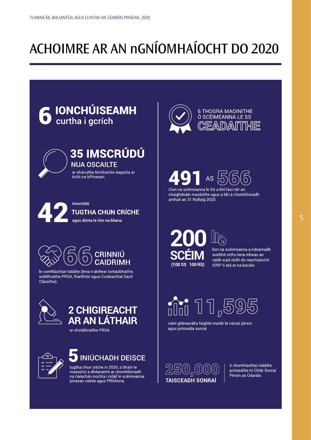## <span id="page-5-0"></span>ACHOIMRE AR AN nGNÍOMHAÍOCHT DO 2020



tugtha chun críche in 2020, a bhain le<br>measúnú a dhéanamh ar chomhlíonadh<br>na rialachán nochta i ndáil le scéimeanna pinsean ceirde agus PRSAnna.

ó chomhlachtaí rialáilte próiseáilte trí Chlár Sonraí Pinsin an Údaráis.

 $250$   $^{000}$ 

**TAISCEADH SONRA**I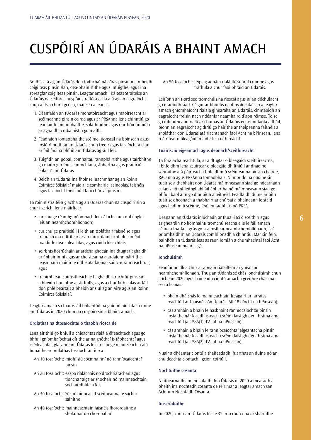# <span id="page-6-0"></span>CUSPÓIRÍ AN ÚDARÁIS A BHAINT AMACH

An fhís atá ag an Údarás don todhchaí ná córas pinsin ina mbeidh coigilteas pinsin slán, dea-bhainistithe agus intuigthe, agus ina spreagfar coigilteas pinsin. Leagtar amach i Ráiteas Straitéise an Údaráis na ceithre chuspóir straitéiseacha atá ag an eagraíocht chun a fís a chur i gcrích, mar seo a leanas:

- 1. Déanfaidh an tÚdarás monatóireacht agus maoirseacht ar scéimeanna pinsin ceirde agus ar PRSAnna lena chinntiú go leanfaidh iontaobhaithe, soláthraithe agus riarthóirí inniúla ar aghaidh á mbainistiú go maith.
- 2. Féadfaidh iontaobhaithe scéime, tionscal na bpinsean agus fostóirí brath ar an Údarás chun treoir agus tacaíocht a chur ar fáil faoina bhfuil an tÚdarás ag súil leis.
- 3. Tuigfidh an pobal, comhaltaí, rannpháirtithe agus tairbhithe go maith gur foinse inrochtana, ábhartha agus praiticiúil eolais é an tÚdarás.
- 4. Beidh an tÚdarás ina fhoinse luachmhar ag an Roinn Coimirce Sóisialaí maidir le comhairle, saineolas, faisnéis agus tacaíocht theicniúil faoi chúrsaí pinsin.

Tá roinnt straitéisí glactha ag an Údarás chun na cuspóirí sin a chur i gcrích, lena n-áirítear:

- cur chuige réamhghníomhach feiceálach chun dul i ngleic leis an neamhchomhlíonadh;
- cur chuige praiticiúil i leith an tsoláthair faisnéise agus treorach ina ndírítear ar an inrochtaineacht, doiciméid maidir le dea-chleachtas, agus cóid chleachtais;
- seirbhís fiosrúcháin ar ardchaighdeán ina dtugtar aghaidh ar ábhair imní agus ar cheisteanna a ardaíonn páirtithe leasmhara maidir le nithe atá faoinár sainchúram reachtúil; agus
- treoirphlean cuimsitheach le haghaidh struchtúr pinsean, a bheidh bunaithe ar ár bhfís, agus a chuirfidh eolas ar fáil don phlé beartais a bheidh ar siúl ag an Aire agus an Roinn Coimirce Sóisialaí.

Leagtar amach sa tuarascáil bhliantúil na gníomhaíochtaí a rinne an tÚdarás in 2020 chun na cuspóirí sin a bhaint amach.

## **Ordlathas na dtosaíochtaí ó thaobh riosca de**

Lena áirithiú go bhfuil a chleachtas rialála éifeachtach agus go bhfuil gníomhaíochtaí dírithe ar na gnóthaí is tábhachtaí agus is éifeachtaí, glacann an tÚdarás le cur chuige maoirseachta atá bunaithe ar ordlathas tosaíochtaí riosca:

- An 1ú tosaíocht: mídhílsiú sócmhainní nó ranníocaíochtaí pinsin
- An 2ú tosaíocht: easpa rialachais nó drochriarachán agus tionchar aige ar shochair nó mainneachtain sochair dhlite a íoc
- An 3ú tosaíocht: Sócmhainneacht scéimeanna le sochar sainithe
- An 4ú tosaíocht: mainneachtain faisnéis fhorordaithe a sholáthar do chomhaltaí

An 5ú tosaíocht: teip ag aonáin rialáilte sonraí cruinne agus tráthúla a chur faoi bhráid an Údaráis.

Léiríonn an t-ord seo tromchúis na rioscaí agus ní an dóchúlacht go dtarlóidh siad. Cé gur ar bhunús na dtosaíochtaí sin a leagtar amach gníomhaíocht rialála ginearálta an Údaráis, cinnteoidh an eagraíocht freisin nach ndéanfar neamhaird d'aon réimse. Toisc go mbraitheann rialú ar chumas an Údaráis eolas iontaofa a fháil, bíonn an eagraíocht ag díriú go háirithe ar theipeanna faisnéis a sholáthar don Údarás atá riachtanach faoi Acht na bPinsean, lena n-áirítear oibleagáidí maidir le sceithireacht.

#### **Tuairisciú éigeantach agus deonach/sceithireacht**

Tá forálacha reachtúla, ar a dtugtar oibleagáidí sceithireachta, i bhfeidhm lena gcuirtear oibleagáid dhlíthiúil ar dhaoine sonraithe atá páirteach i bhfeidhmiú scéimeanna pinsin cheirde, RACanna agus PRSAnna Iontaobhais. Ní mór do na daoine sin tuairisc a thabhairt don Údarás má mheasann siad go ndearnadh calaois nó mí-leithghabháil ábhartha nó má mheasann siad go bhfuil baol ann go dtarlóidh a leithéid. Féadfaidh duine ar bith tuairisc dheonach a thabhairt ar chúrsaí a bhaineann le staid agus feidhmiú scéime, RAC Iontaobhais nó PRSA.

Déanann an tÚdarás iniúchadh ar thuairiscí ó sceithirí agus ar ghearáin nó líomhaintí tromchúiseacha eile le fáil amach céard a tharla. I gcás go n-aimsítear neamhchomhlíonadh, is é príomhaidhm an Údaráis comhlíonadh a chinntiú. Mar sin féin, bainfidh an tÚdarás leas as raon iomlán a chumhachtaí faoi Acht na bPinsean nuair is gá.

#### **Ionchúisimh**

Féadfar an dlí a chur ar aonáin rialáilte mar gheall ar neamhchomhlíonadh. Thug an tÚdarás sé chás ionchúisimh chun críche in 2020 agus baineadh ciontú amach i gceithre chás mar seo a leanas:

- bhain dhá chás le mainneachtain freagairt ar iarratas reachtúil ar fhaisnéis ón Údarás (Alt 18 d'Acht na bPinsean);
- cás amháin a bhain le hasbhaint ranníocaíochtaí pinsin fostaithe nár íocadh isteach i scéim laistigh den fhráma ama reachtúil (alt 58A(1) d'Acht na bPinsean);
- cás amháin a bhain le ranníocaíochtaí éigeantacha pinsin fostaithe nár íocadh isteach i scéim laistigh den fhráma ama reachtúil (alt 58A(2) d'Acht na bPinsean).

Nuair a dhéantar ciontú a thaifeadadh, fuarthas an duine nó an chuideachta ciontach i gcion coiriúil.

#### **Nochtuithe cosanta**

Ní dhearnadh aon nochtadh don Údarás in 2020 a measadh a bheith ina nochtadh cosanta de réir mar a leagtar amach san Acht um Nochtadh Cosanta.

## **Imscrúduithe**

In 2020, chuir an tÚdarás tús le 35 imscrúdú nua ar sháruithe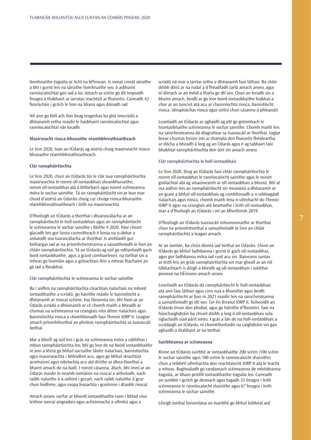líomhnaithe éagsúla ar Acht na bPinsean. Is iomaí cineál sáraithe a bhí i gceist leis na sáruithe líomhnaithe seo, ó asbhaint ranníocaíochtaí gan iad a íoc isteach sa scéim go dtí teipeadh freagra a thabhairt ar iarratas reachtúil ar fhaisnéis. Cuireadh 42 fiosrúchán i gcrích le linn na bliana agus dúnadh iad.

Níl ann go fóill ach líon beag teagmhas ba ghá imscrúdú a dhéanamh orthu maidir le hasbhaint ranníocaíochtaí agus ranníocaíochtaí nár íocadh.

#### **Maoirseacht riosca-bhunaithe réamhbhreathnaitheach**

Le linn 2020, lean an tÚdarás ag aistriú chuig maoirseacht rioscabhunaithe réamhbhreathnaitheach.

### **Clár rannpháirtíochta**

Le linn 2020, chuir an tÚdarás tús le clár nua rannpháirtíochta maoirseachta le roinnt oll-iontaobhais sheanbhunaithe, roinnt oll-iontaobhas atá á bhforbairt agus roinnt scéimeanna móra le sochar sainithe. Tá an rannpháirtíocht sin ar bun mar chuid d'aistriú an Údaráis chuig cur chuige riosca-bhunaithe réamhbhreathnaitheach i leith na maoirseachta.

D'fhoilsigh an tÚdarás a thorthaí i dtuarascálacha ar an rannpháirtíocht le holl-iontaobhais agus an rannpháirtíocht le scéimeanna le sochar sainithe i Ráithe 4 2020. Níor cheart glacadh leis gur liosta cuimsitheach é liosta na n-ábhar a ardaíodh sna tuarascálacha ar thorthaí. Is amhlaidh gur forléargas iad ar na príomhcheisteanna a sainaithníodh le linn an chláir rannpháirtíochta. Tá an tÚdarás ag súil go ndéanfaidh gach bord iontaobhaithe, agus a gcuid comhairleoirí, na torthaí sin a mheas go hiomlán agus a gcleachtais féin a mheas féachaint an gá iad a fheabhsú.

#### Clár rannpháirtíochta le scéimeanna le sochar sainithe

Ba í aidhm na rannpháirtíochta cleachtais rialachais na mbord iontaobhaithe a scrúdú, go háirithe maidir le bainistíocht a dhéanamh ar rioscaí scéime. Ina theannta sin, bhí fonn ar an Údarás scrúdú a dhéanamh ar cé chomh maith a bheadh ar chumas na scéimeanna na ceanglais níos déine rialachais agus bainistíochta riosca a chomhlíonadh faoi Threoir IORP II. Leagtar amach príomhthorthaí an phróisis rannpháirtíochta sa tuarascáil torthaí.

Mar a bheifí ag súil leis i gcás na scéimeanna móra a rabhthas i mbun rannpháirtíochta leo, bhí go leor de na boird iontaobhaithe in ann a léiriú go bhfuil socruithe láidre rialachais, bainistíochta agus maoirseachta i bhfeidhm acu, agus go bhfuil struchtúir acmhainní agus oibríochta acu atá dírithe ar dhea-thorthaí a bhaint amach do na baill. I roinnt cásanna, áfach, bhí imní ar an Údarás maidir le neamh-iomláine na rioscaí a aithníodh, nach raibh rialuithe á n-aithint i gceart, nach raibh rialuithe á gcur chun feidhme, agus easpa feasachta i gcoitinne i dtaobh rioscaí.

Amach anseo, iarrfar ar bhoird iontaobhaithe raon i bhfad níos leithne sonraí airgeadais agus achtúireacha a ullmhú agus a

scrúdú ná mar a iarrtar orthu a dhéanamh faoi láthair. Ba chóir dóibh díriú ar na rudaí a d'fhéadfadh tarlú amach anseo, agus ní díreach ar an méid a tharla go dtí seo. Chun an toradh sin a bhaint amach, beidh ar go leor boird iontaobhaithe feabhas a chur ar an tuiscint atá acu ar chainníochtú riosca, bainistíocht riosca, idirspleáchas riosca agus uirlisí chun cásanna a phleanáil.

Leanfaidh an tÚdarás ar aghaidh ag plé go gníomhach le hiontaobhaithe scéimeanna le sochar sainithe. Chomh maith leis na saincheisteanna dá dtagraítear sa tuarascáil ar thorthaí, tugtar breac-chuntas freisin inti ar shampla den fhaisnéis fhéideartha ar dócha a bheadh á lorg ag an Údarás agus é ag tabhairt faoi bhabhtaí rannpháirtíochta den sórt sin amach anseo.

#### Clár rannpháirtíochta le holl-iontaobhais

Le linn 2020, thug an tÚdarás faoi chlár rannpháirtíochta le roinnt oll-iontaobhas le ranníocaíocht sainithe agus le roinnt gnólachtaí atá ag smaoineamh ar oll-iontaobhais a bhunú. Bhí sé ina aidhm leis an rannpháirtíocht sin measúnú a dhéanamh ar an gcaoi a bhfuil oll-iontaobhais ag comhlíonadh a n-oibleagáidí rialachais agus riosca, chomh maith lena n-ullmhacht do Threoir IORP II agus na ceanglais atá beartaithe i leith oll-iontaobhas, mar a d'fhoilsigh an tÚdarás i mí an Mheithimh 2019.

D'fhoilsigh an tÚdarás tuarascáil mhionsonraithe ar thorthaí chun na príomhthorthaí a sainaithníodh le linn an chláir rannpháirtíochta a leagan amach.

Ar an iomlán, ba chúis díomá iad torthaí an Údaráis. Chinn an tÚdarás go bhfuil fadhbanna i gceist le gach oll-iontaobhas, agus gur fadhbanna móra iad cuid acu sin. Baineann suntas ar leith leis an gclár rannpháirtíochta sin mar gheall ar an ról tábhachtach is dóigh a bheidh ag oll-iontaobhais i soláthar pinsean na hÉireann amach anseo.

Leanfaidh an tÚdarás dá rannpháirtíocht le holl-iontaobhais atá ann faoi láthair agus cinn nua a bhunófar agus beidh rannpháirtíocht ar bun in 2021 maidir leis na saincheisteanna a sainaithníodh go dtí seo. Tar éis thrasuí IORP II, foilseoidh an tÚdarás treoir don phobal, agus go háirithe d'fhostóirí, faoi na híoschaighdeáin ba cheart dóibh a lorg ó oll-iontaobhais sula nglacfaidh siad páirt iontu. I gcás a lán de na holl-iontaobhais a scrúdaigh an tÚdarás, ní chomhlíonfaidís na caighdeáin sin gan aghaidh a thabhairt ar na torthaí.

#### **Suirbhéanna ar scéimeanna**

Rinne an tÚdarás suirbhé ar iontaobhaithe 200 scéim (100 scéim le sochar sainithe agus 100 scéim le ranníocaíocht shainithe) chun a leibhéil ullmhachta don reachtaíocht IORP II atá le teacht a mheas. Roghnaíodh go randamach scéimeanna de mhéideanna éagsúla, ar bhain próifílí iontaobhaithe éagsúla leo. Cuireadh an suirbhé i gcrích go deonach agus tugadh 35 freagra i leith scéimeanna le ranníocaíocht shainithe agus 67 freagra i leith scéimeanna le sochar sainithe.

Léirigh torthaí foriomlána an tsuirbhé go bhfuil leibhéal ard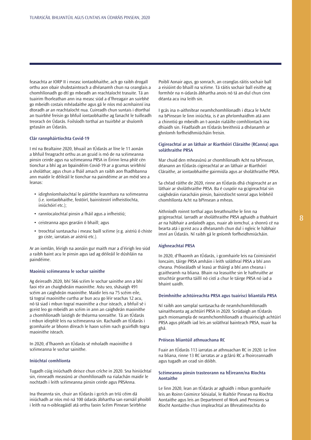feasachta ar IORP II i measc iontaobhaithe, ach go raibh drogall orthu aon obair shubstainteach a dhéanamh chun na ceanglais a chomhlíonadh go dtí go mbeadh an reachtaíocht trasuite. Tá an tuairim fhorleathan ann ina measc siúd a d'fhreagair an suirbhé go mbeidh costais mhéadaithe agus gá le níos mó acmhainní ina dtoradh ar an reachtaíocht nua. Cuireadh chun suntais i dtorthaí an tsuirbhé freisin go bhfuil iontaobhaithe ag fanacht le tuilleadh treorach ón Údarás. Foilsíodh torthaí an tsuirbhé ar shuíomh gréasáin an Údaráis.

## **Clár rannpháirtíochta Covid-19**

I mí na Bealtaine 2020, bhuail an tÚdarás ar líne le 11 aonán a bhfuil freagracht orthu as an gcuid is mó de na scéimeanna pinsin ceirde agus na scéimeanna PRSA in Éirinn lena phlé cén tionchar a bhí ag an bpaindéim Covid-19 ar a gcumas seirbhísí a sholáthar, agus chun a fháil amach an raibh aon fhadhbanna ann maidir le déileáil le tionchar na paindéime ar an méid seo a leanas:

- idirghníomhaíochtaí le páirtithe leasmhara na scéimeanna (i.e. iontaobhaithe, fostóirí, bainisteoirí infheistíochta, iniúchóirí etc.);
- ranníocaíochtaí pinsin a fháil agus a infheistiú;
- ceisteanna agus gearáin ó bhaill; agus
- treochtaí suntasacha i measc baill scéime (e.g. aistriú ó chiste go ciste, iarratais ar aistriú etc.).

Ar an iomlán, léirigh na aonáin gur maith mar a d'éirigh leo siúd a raibh baint acu le pinsin agus iad ag déileáil le dúshláin na paindéime.

#### **Maoiniú scéimeanna le sochar sainithe**

Ag deireadh 2020, bhí 566 scéim le sochar sainithe ann a bhí faoi réir an chaighdeáin maoinithe. Astu seo, shásaigh 491 scéim an caighdeán maoinithe. Maidir leis na 75 scéim eile, tá tograí maoinithe curtha ar bun acu go léir seachas 12 acu, nó tá siad i mbun tograí maoinithe a chur isteach, a bhfuil sé i gceist leo go mbeidh an scéim in ann an caighdeán maoinithe a chomhlíonadh laistigh de théarma sonraithe. Tá an tÚdarás i mbun idirphlé leis na scéimeanna sin. Rachaidh an tÚdarás i gcomhairle ar bhonn díreach le haon scéim nach gcuirfidh togra maoinithe isteach.

In 2020, d'fhaomh an tÚdarás sé mholadh maoinithe ó scéimeanna le sochar sainithe.

#### **Iniúchtaí comhlíonta**

Tugadh cúig iniúchadh deisce chun críche in 2020. Sna hiniúchtaí sin, rinneadh measúnú ar chomhlíonadh na rialachán maidir le nochtadh i leith scéimeanna pinsin ceirde agus PRSAnna.

Ina theannta sin, chuir an tÚdarás i gcrích an tríú céim dá iniúchadh ar níos mó ná 100 údarás ábhartha san earnáil phoiblí i leith na n-oibleagáidí atá orthu faoin Scéim Pinsean Seirbhíse

Poiblí Aonair agus, go sonrach, an ceanglas ráitis sochair ball a eisiúint do bhaill na scéime. Tá ráitis sochair ball eisithe ag formhór na n-údarás ábhartha anois nó tá an-dul chun cinn déanta acu ina leith sin.

I gcás ina n-aithnítear neamhchomhlíonadh i dtaca le hAcht na bPinsean le linn iniúchta, is é an phríomhaidhm atá ann a chinntiú go mbeidh an t-aonán rialáilte comhlíontach ina dhiaidh sin. Féadfaidh an tÚdarás breithniú a dhéanamh ar ghníomh forfheidhmiúcháin freisin.

### **Cigireachtaí ar an láthair ar Riarthóirí Cláraithe (RCanna) agus soláthraithe PRSA**

Mar chuid den mheasúnú ar chomhlíonadh Acht na bPinsean, déanann an tÚdarás cigireachtaí ar an láthair ar Riarthóirí Cláraithe, ar iontaobhaithe gairmiúla agus ar sholáthraithe PRSA.

Sa chéad ráithe de 2020, rinne an tÚdarás dhá chigireacht ar an láthair ar sholáthraithe PRSA. Ba é cuspóir na gcigireachtaí sin caighdeáin riaracháin pinsin, bainistíocht sonraí agus leibhéil chomhlíonta Acht na bPinsean a mheas.

Aithníodh roinnt torthaí agus breathnuithe le linn na gcigireachtaí. Iarradh ar sholáthraithe PRSA aghaidh a thabhairt ar na hábhair a ardaíodh agus, nuair ab iomchuí, a shonrú cé na bearta atá i gceist acu a dhéanamh chun dul i ngleic le hábhair imní an Údaráis. Ní raibh gá le gníomh forfheidhmiúcháin.

## **Aighneachtaí PRSA**

In 2020, d'fhaomh an tÚdarás, i gcomhairle leis na Coimisinéirí Ioncaim, táirge PRSA amháin i leith soláthraí PRSA a bhí ann cheana. Próiseáladh sé leasú ar tháirgí a bhí ann cheana i gcaitheamh na bliana. Bhain na leasuithe sin le hathruithe ar struchtúr gearrtha táillí nó cistí a chur le táirge PRSA nó iad a bhaint uaidh.

## **Deimhnithe achtúireachta PRSA agus tuairiscí bliantúla PRSA**

Ní raibh aon samplaí suntasacha de neamhchomhlíonadh sainaitheanta ag achtúirí PRSA in 2020. Scrúdaigh an tÚdarás gach mionsampla de neamhchomhlíonadh a thuairiscigh achtúirí PRSA agus pléadh iad leis an soláthraí bainteach PRSA, nuair ba ghá.

## **Próiseas bliantúil athnuachana RC**

Fuair an tÚdarás 113 iarratas ar athnuachan RC in 2020. Le linn na bliana, rinne 13 RC iarratas ar a gclárú RC a fhoirceannadh agus tugadh an cead sin dóibh.

## **Scéimeanna pinsin trasteorann na hÉireann/na Ríochta Aontaithe**

Le linn 2020, lean an tÚdarás ar aghaidh i mbun gcomhairle leis an Roinn Coimirce Sóisialaí, le Rialtóir Pinsean na Ríochta Aontaithe agus leis an Department of Work and Pensions sa Ríocht Aontaithe chun impleachtaí an Bhreatimeachta do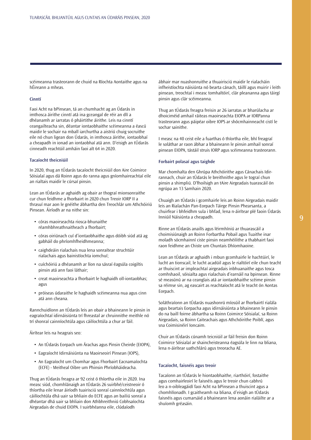scéimeanna trasteorann de chuid na Ríochta Aontaithe agus na hÉireann a mheas.

## **Cinntí**

Faoi Acht na bPinsean, tá an chumhacht ag an Údarás in imthosca áirithe cinntí atá ina gceangal de réir an dlí a dhéanamh ar iarratas ó pháirtithe áirithe. Leis na cinntí ceangailteacha sin, déantar iontaobhaithe scéimeanna a éascú maidir le sochair na mball iarchurtha a aistriú chuig socruithe eile nó chun ligean don Údarás, in imthosca áirithe, iontaobhaí a cheapadh in ionad an iontaobhaí atá ann. D'eisigh an tÚdarás cinneadh reachtúil amháin faoi alt 64 in 2020.

## **Tacaíocht theicniúil**

In 2020, thug an tÚdarás tacaíocht theicniúil don Aire Coimirce Sóisialaí agus dá Roinn agus do ranna agus gníomhaireachtaí eile an rialtais maidir le cúrsaí pinsin.

Lean an tÚdarás ar aghaidh ag obair ar thograí mionsonraithe cur chun feidhme a fhorbairt in 2020 chun Treoir IORP II a thrasuí mar aon le gnéithe ábhartha den Treochlár um Athchóiriú Pinsean. Áiríodh ar na nithe sin:

- córas maoirseachta riosca-bhunaithe réamhbhreathnaitheach a fhorbairt;
- córas oiriúnach cuí d'iontaobhaithe agus dóibh siúd atá ag gabháil do phríomhfheidhmeanna;
- caighdeáin rialachais nua lena sonraítear struchtúir rialachais agus bainistíochta iomchuí;
- cuíchóiriú a dhéanamh ar líon na sásraí éagsúla coigiltis pinsin atá ann faoi láthair;
- creat maoirseachta a fhorbairt le haghaidh oll-iontaobhas; agus
- próiseas údaraithe le haghaidh scéimeanna nua agus cinn atá ann cheana.

Rannchuidíonn an tÚdarás leis an obair a bhaineann le pinsin in eagraíochtaí idirnáisiúnta trí fhreastal ar chruinnithe meithle nó trí shonraí cainníochtúla agus cáilíochtúla a chur ar fáil.

Áirítear leis na heagrais seo:

- An tÚdarás Eorpach um Árachas agus Pinsin Cheirde (EIOPA),
- Eagraíocht Idirnáisiúnta na Maoirseoirí Pinsean (IOPS),
- An Eagraíocht um Chomhar agus Fhorbairt Eacnamaíochta (ECFE) - Meitheal Oibre um Phinsin Phríobháideacha.

Thug an tÚdarás freagra ar 92 ceist ó thíortha eile in 2020. Ina measc siúd, chomhlánaigh an tÚdarás 26 suirbhé/ceistneoir ó thíortha eile lenar áiríodh tuairisciú sonraí cainníochtúla agus cáilíochtúla dhá uair sa bhliain do ECFE agus an bailiú sonraí a dhéantar dhá uair sa bhliain don Athbhreithniú Cobhsaíochta Airgeadais de chuid EIOPA. I suirbhéanna eile, clúdaíodh

ábhair mar nuashonruithe a thuairisciú maidir le rialacháin infheistíochta náisiúnta nó bearta cánach, táillí agus muirir i leith pinsean, treochtaí i measc tomhaltóirí, clár pleananna agus táirgí pinsin agus clár scéimeanna.

Thug an tÚdarás freagra freisin ar 26 iarratas ar bharúlacha ar dhoiciméid amhail ráiteas maoirseachta EIOPA ar IORPanna trasteorann agus páipéar oibre IOPS ar shócmhainneacht cistí le sochar sainithe.

I measc na 40 ceist eile a fuarthas ó thíortha eile, bhí freagraí le soláthar ar raon ábhar a bhaineann le pinsin amhail sonraí pinsean EIOPA, tástáil struis IORP agus scéimeanna trasteorann.

### **Forbairt polasaí agus taighde**

Mar chomhalta den Ghrúpa Athchóirithe agus Cánachais Idirrannach, chuir an tÚdarás le breithnithe agus le tograí chun pinsin a shimpliú. D'fhoilsigh an tAire Airgeadais tuarascáil ón ngrúpa an 13 Samhain 2020.

Chuaigh an tÚdarás i gcomhairle leis an Roinn Airgeadais maidir leis an Rialachán Pan-Eorpach Táirge Pinsin Phearsanta, a chuirfear i bhfeidhm sula i bhfad, lena n-áirítear plé faoin Údarás Inniúil Náisiúnta a cheapadh.

Rinne an tÚdarás anailís agus léirmhíniú ar thuarascáil a choimisiúnaigh an Roinn Forbartha Pobail agus Tuaithe inar moladh sócmhainní ciste pinsin neamhéilithe a thabhairt faoi raon feidhme an Chiste um Chuntais Dhíomhaoine.

Lean an tÚdarás ar aghaidh i mbun gcomhairle le hachtúirí, le lucht an tionscail, le lucht acadúil agus le rialtóirí eile chun teacht ar thuiscint ar impleachtaí airgeadais inbhuanaithe agus tosca comhshaoil, sóisialta agus rialachais d'earnáil na bpinsean. Rinne sé measúnú ar na ceanglais atá ar iontaobhaithe scéime pinsin sa réimse sin, ag eascairt as reachtaíocht atá le teacht ón Aontas Eorpach.

Soláthraíonn an tÚdarás nuashonrú míosúil ar fhorbairtí rialála agus beartais Eorpacha agus idirnáisiúnta a bhaineann le pinsin do na baill foirne ábhartha sa Roinn Coimirce Sóisialaí, sa Roinn Airgeadais, sa Roinn Caiteachais agus Athchóirithe Poiblí, agus sna Coimisinéirí Ioncaim.

Chuir an tÚdarás cúnamh teicniúil ar fáil freisin don Roinn Coimirce Sóisialaí ar shaincheisteanna éagsúla le linn na bliana, lena n-áirítear uathchlárú agus treoracha AE.

## **Tacaíocht, faisnéis agus treoir**

Tacaíonn an tÚdarás le hiontaobhaithe, riarthóirí, fostaithe agus comhairleoirí le faisnéis agus le treoir chun cabhrú leo a n-oibleagáidí faoi Acht na bPinsean a thuiscint agus a chomhlíonadh. I gcaitheamh na bliana, d'eisigh an tÚdarás faisnéis agus cumarsáid a bhaineann lena aonáin rialáilte ar a shuíomh gréasáin.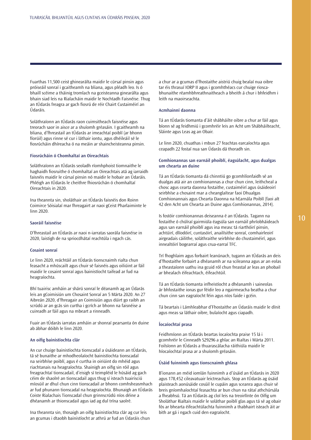Fuarthas 11,500 ceist ghinearálta maidir le cúrsaí pinsin agus próiseáil sonraí i gcaitheamh na bliana, agus pléadh leo. Is ó bhaill scéime a tháinig tromlach na gceisteanna ginearálta agus bhain siad leis na Rialacháin maidir le Nochtadh Faisnéise. Thug an tÚdarás freagra ar gach fiosrú de réir Chairt Custaiméirí an Údaráis.

Soláthraíonn an tÚdarás raon cuimsitheach faisnéise agus treorach saor in aisce ar a shuíomh gréasáin. I gcaitheamh na bliana, d'fhreastail an tÚdarás ar imeachtaí poiblí (ar bhonn fíorúil) agus rinne sé cur i láthair iontu, agus dhéileáil sé le fiosrúcháin dhíreacha ó na meáin ar shaincheisteanna pinsin.

## **Fiosrúcháin ó Chomhaltaí an Oireachtais**

Soláthraíonn an tÚdarás seoladh ríomhphoist tiomnaithe le haghaidh fiosruithe ó chomhaltaí an Oireachtais atá ag iarraidh faisnéis maidir le cúrsaí pinsin nó maidir le hobair an Údaráis. Phléigh an tÚdarás le cheithre fhiosrúchán ó chomhaltaí Oireachtais in 2020.

Ina theannta sin, sholáthair an tÚdarás faisnéis don Roinn Coimirce Sóisialaí mar fhreagairt ar naoi gCeist Pharlaiminte le linn 2020.

#### **Saoráil faisnéise**

D'fhreastail an tÚdarás ar naoi n-iarratas saorála faisnéise in 2020, laistigh de na spriocdhátaí reachtúla i ngach cás.

## **Cosaint sonraí**

Le linn 2020, reáchtáil an tÚdarás tionscnaimh rialta chun feasacht a mhúscailt agus chuir sé faisnéis agus oiliúint ar fáil maidir le cosaint sonraí agus bainistíocht taifead ar fud na heagraíochta.

Bhí tuairisc amháin ar shárú sonraí le déanamh ag an Údarás leis an gCoimisiún um Chosaint Sonraí an 5 Márta 2020. An 27 Aibreán 2020, d'fhreagair an Coimisiún agus dúirt go raibh an scrúdú ar an gcás sin curtha i gcrích ar bhonn na faisnéise a cuireadh ar fáil agus na mbeart a rinneadh.

Fuair an tÚdarás iarratas amháin ar shonraí pearsanta ón duine ab ábhar dóibh le linn 2020.

### **An oifig bainistíochta clár**

An cur chuige bainistíochta tionscadal a úsáideann an tÚdarás, tá sé bunaithe ar mhodheolaíocht bainistíochta tionscadal na seirbhíse poiblí, agus é curtha in oiriúint do mhéid agus riachtanais na heagraíochta. Shainigh an oifig sin róil agus freagrachtaí tionscadail, d'eisigh sí teimpléid le húsáid ag gach céim de shaolré an tionscadail agus thug sí isteach tuairisciú míosúil ar dhul chun cinn tionscadail ar bhonn comhsheasmhach ar fud phunann tionscadal na heagraíochta. Bhunaigh an tÚdarás Coiste Rialachais Tionscadal chun grinnscrúdú níos déine a dhéanamh ar thionscadail agus iad ag dul trína saolré.

Ina theannta sin, thosaigh an oifig bainistíochta clár ag cur leis an gcumas i dtaobh bainistíocht ar athrú ar fud an Údaráis chun a chur ar a gcumas d'fhostaithe aistriú chuig bealaí nua oibre tar éis thrasuí IORP II agus i gcomhthéacs cur chuige rioscabhunaithe réamhbhreathnaitheach a bheith á chur i bhfeidhm i leith na maoirseachta.

#### **Acmhainní daonna**

Tá an tÚdarás tiomanta d'áit shábháilte oibre a chur ar fáil agus bíonn sé ag feidhmiú i gcomhréir leis an Acht um Shábháilteacht, Sláinte agus Leas ag an Obair.

Le linn 2020, chuathas i mbun 27 feachtas earcaíochta agus ceapadh 22 fostaí nua san Údarás dá thoradh sin.

## **Comhionannas san earnáil phoiblí, éagsúlacht, agus dualgas um chearta an duine**

Tá an tÚdarás tiomanta dá chinntiú go gcomhlíonfaidh sé an dualgas atá air an comhionannas a chur chun cinn, leithcheal a chosc agus cearta daonna fostaithe, custaiméirí agus úsáideoirí seirbhíse a chosaint mar a cheanglaítear faoi Dhualgas Comhionannais agus Chearta Daonna na hEarnála Poiblí (faoi alt 42 den Acht um Chearta an Duine agus Comhionannas, 2014).

Is fostóir comhionannas deiseanna é an tÚdarás. Tagann na fostaithe ó chúlraí gairmiúla éagsúla san earnáil phríobháideach agus san earnáil phoiblí agus ina measc tá riarthóirí pinsin, achtúirí, dlíodóirí, cuntasóirí, anailísithe sonraí, comhairleoirí airgeadais cáilithe, soláthraithe seirbhíse do chustaiméirí, agus innealtóirí bogearraí agus crua-earraí TFC.

Trí fhoghlaim agus forbairt leanúnach, tugann an tÚdarás an deis d'fhostaithe forbairt a dhéanamh ar na scileanna agus ar an eolas a theastaíonn uathu ina gcuid ról chun freastal ar leas an phobail ar bhealach éifeachtach, éifeachtúil.

Tá an tÚdarás tiomanta infheistíocht a dhéanamh i saineolas ár bhfostaithe ionas gur féidir leo a ngairmeacha beatha a chur chun cinn san eagraíocht féin agus níos faide i gcéin.

Tá beartais i Lámhleabhar d'Fhostaithe an Údaráis maidir le dínit agus meas sa láthair oibre, bulaíocht agus ciapadh.

### **Íocaíochtaí prasa**

Feidhmíonn an tÚdarás beartas íocaíochta praise 15 lá i gcomhréir le Cinneadh S29296 a ghlac an Rialtas i Márta 2011. Foilsíonn an tÚdarás a thuarascálacha ráithiúla maidir le híocaíochtaí prasa ar a shuíomh gréasáin.

## **Úsáid fuinnimh agus tionscnaimh ghlasa**

B'ionann an méid iomlán fuinnimh a d'úsáid an tÚdarás in 2020 agus 178,452 cileavatuair leictreachais. Stop an tÚdarás ag úsáid plaisteach aonúsáide cosúil le cupáin agus sceanra agus chuir sé breis gníomhaíochtaí feasachta ar bun chun na rátaí athchúrsála a fheabhsú. Tá an tÚdarás ag cloí leis na treoirlínte ón Oifig um Sholáthar Rialtais maidir le soláthar poiblí glas agus tá sé ag obair fós ar bhearta éifeachtúlachta fuinnimh a thabhairt isteach áit ar bith ar gá i ngach cuid den eagraíocht.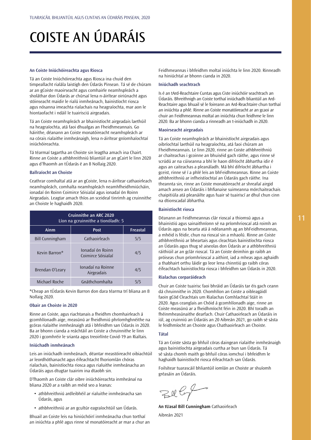## <span id="page-11-0"></span>COISTE AN ÚDARÁIS

#### **An Coiste Iniúchóireachta agus Riosca**

Tá an Coiste Iniúchóireachta agus Riosca ina chuid den timpeallacht rialála laistigh den Údarás Pinsean. Tá sé de chúram ar an gCoiste maoirseacht agus comhairle neamhspleách a sholáthar don Údarás ar chúrsaí lena n-áirítear oiriúnacht agus stóinseacht maidir le rialú inmheánach, bainistíocht riosca agus nósanna imeachta rialachais na heagraíochta, mar aon le hiontaofacht i ndáil le tuairisciú airgeadais.

Tá an Coiste neamhspleách ar bhainistíocht airgeadais laethúil na heagraíochta, atá faoi dhualgas an Fheidhmeannais. Go háirithe, déanann an Coiste monatóireacht neamhspleách ar na córais rialaithe inmheánaigh, lena n-áirítear gníomhaíochtaí iniúchóireachta.

Tá téarmaí tagartha an Choiste sin leagtha amach ina Chairt. Rinne an Coiste a athbhreithniú bliantúil ar an gCairt le linn 2020 agus d'fhaomh an tÚdarás é an 8 Nollaig 2020.

### **Ballraíocht an Choiste**

Ceathrar comhaltaí atá ar an gCoiste, lena n-áirítear cathaoirleach neamhspleách, comhalta neamhspleách neamhfheidhmiúcháin, ionadaí ón Roinn Coimirce Sóisialaí agus ionadaí ón Roinn Airgeadais. Leagtar amach thíos an sceideal tinrimh ag cruinnithe an Choiste le haghaidh 2020.

| <b>Cruinnithe an ARC 2020</b><br>Líon na gcruinnithe a tionóladh: 5 |                                        |     |  |
|---------------------------------------------------------------------|----------------------------------------|-----|--|
| Ainm<br><b>Freastal</b><br><b>Post</b>                              |                                        |     |  |
| <b>Bill Cunningham</b>                                              | Cathaoirleach                          | 5/5 |  |
| Kevin Barron*                                                       | Jonadaí ón Roinn<br>Coimirce Sóisialaí | 4/5 |  |
| Brendan O'Leary                                                     | Ionadaí na Roinne<br>Airgeadais        | 4/5 |  |
| Michael Roche                                                       | Gnáthchomhalta                         | 5/5 |  |

\*Cheap an tÚdarás Kevin Barron don dara téarma trí bliana an 8 Nollaig 2020.

## **Obair an Choiste in 2020**

Rinne an Coiste, agus riachtanais a fheidhm chomhairleach á gcomhlíonadh aige, measúnú ar fheidhmiú phríomhghnéithe na gcóras rialaithe inmheánaigh atá i bhfeidhm san Údarás in 2020. Ba ar bhonn cianda a reáchtáil an Coiste a chruinnithe le linn 2020 i gcomhréir le srianta agus treoirlínte Covid-19 an Rialtais.

#### **Iniúchadh inmheánach**

Leis an iniúchadh inmheánach, déantar meastóireacht oibiachtúil ar leordhóthanacht agus éifeachtacht fhoriomlán chóras rialachais, bainistíochta riosca agus rialuithe inmheánacha an Údaráis agus dtugtar tuairim ina dtaobh sin.

D'fhaomh an Coiste clár oibre iniúchóireachta inmheánaí na bliana 2020 ar a raibh an méid seo a leanas:

- athbhreithniú ardleibhéil ar rialuithe inmheánacha san Údarás, agus
- athbhreithniú ar an gcultúr eagraíochtúil san Údarás.

Bhuail an Coiste leis na hiniúchóirí inmheánacha chun torthaí an iniúchta a phlé agus rinne sé monatóireacht ar mar a chur an Feidhmeannas i bhfeidhm moltaí iniúchta le linn 2020. Rinneadh na hiniúchtaí ar bhonn cianda in 2020.

### **Iniúchadh seachtrach**

Is é an tArd-Reachtaire Cuntas agus Ciste iniúchóir seachtrach an Údaráis. Bhreithnigh an Coiste torthaí iniúchadh bliantúil an Ard-Reachtaire agus bhuail sé le foireann an Ard-Reachtaire chun torthaí an iniúchta a phlé. Rinne an Coiste monatóireacht ar an gcaoi ar chuir an Feidhmeannas moltaí an iniúchta chun feidhme le linn 2020. Ba ar bhonn cianda a rinneadh an t-iniúchadh in 2020.

#### **Maoirseacht airgeadais**

Tá an Coiste neamhspleách ar bhainistíocht airgeadais agus oibríochtaí laethúil na heagraíochta, atá faoi chúram an Fheidhmeannais. Le linn 2020, rinne an Coiste athbhreithniú ar chaiteachas i gcoinne an bhuiséid gach ráithe, agus rinne sé scrúdú ar na cúiseanna a bhí le haon difríocht ábhartha idir é agus an caiteachas a pleanáladh. Má bhí difríocht ábhartha i gceist, rinne sé í a phlé leis an bhFeidhmeannas. Rinne an Coiste athbhreithniú ar infheistíochtaí an Údaráis gach ráithe. Ina theannta sin, rinne an Coiste monatóireacht ar shreafaí airgid amach anseo an Údaráis i bhfianaise suimeanna mórchaiteachais chaipitiúla atá pleanáilte agus fuair sé tuairiscí ar dhul chun cinn na dtionscadal ábhartha.

## **Bainistíocht riosca**

Déanann an Feidhmeannas clár rioscaí a thiomsú agus a bhainistiú agus sainaithníonn sé na príomhrioscaí atá roimh an Údarás agus na bearta atá á ndéanamh ag an bhFeidhmeannas, a mhéid is féidir, chun na rioscaí sin a mhaolú. Rinne an Coiste athbhreithniú ar bheartais agus cleachtais bainistíochta riosca an Údaráis agus thug sé aiseolas don Údarás ar a athbhreithniú ráithiúil ar an gclár rioscaí. Tá an Coiste deimhin go raibh an próiseas chun príomhrioscaí a aithint, iad a mheas agus aghaidh a thabhairt orthu láidir go leor lena chinntiú go raibh córas éifeachtach bainistíochta riosca i bhfeidhm san Údarás in 2020.

### **Rialachas corparáideach**

Chuir an Coiste tuairisc faoi bhráid an Údaráis tar éis gach ceann dá chruinnithe in 2020. Chomhlíon an Coiste a oibleagáidí faoin gCód Cleachtais um Rialachas Comhlachtaí Stáit in 2020. Agus ceanglais an Chóid á gcomhlíonadh aige, rinne an Coiste measúnú ar a fheidhmíocht féin in 2020. Bhí toradh an fhéinmheasúnaithe dearfach. Chuir Cathaoirleach an Údaráis in iúl, ag cruinniú an Údaráis an 20 Aibreán 2021, go raibh sé sásta le feidhmíocht an Choiste agus Chathaoirleach an Choiste.

#### **Tátal**

Tá an Coiste sásta go bhfuil córas daingean rialaithe inmheánaigh agus bainistíochta airgeadais curtha ar bun san Údarás. Tá sé sásta chomh maith go bhfuil córas iomchuí i bhfeidhm le haghaidh bainistíocht riosca éifeachtach san Údarás.

Foilsítear tuarascáil bhliantúil iomlán an Choiste ar shuíomh gréasáin an Údaráis.

 $ZUG$ 

**An tUasal Bill Cunningham** Cathaoirleach

Aibreán 2021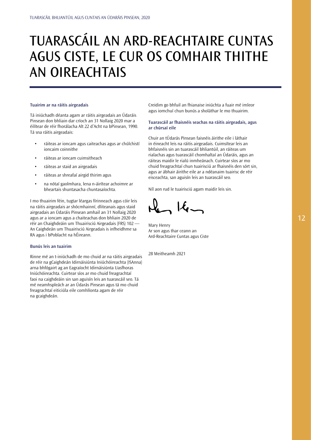## <span id="page-12-0"></span>TUARASCÁIL AN ARD-REACHTAIRE CUNTAS AGUS CISTE, LE CUR OS COMHAIR THITHE AN OIREACHTAIS

## **Tuairim ar na ráitis airgeadais**

Tá iniúchadh déanta agam ar ráitis airgeadais an Údaráis Pinsean don bhliain dar críoch an 31 Nollaig 2020 mar a éilítear de réir fhorálacha Alt 22 d'Acht na bPinsean, 1990. Tá sna ráitis airgeadais:

- ráiteas ar ioncam agus caiteachas agus ar chúlchistí ioncaim coinnithe
- ráiteas ar ioncam cuimsitheach
- ráiteas ar staid an airgeadais
- ráiteas ar shreafaí airgid thirim agus
- na nótaí gaolmhara, lena n-áirítear achoimre ar bheartais shuntasacha chuntasaíochta.

I mo thuairim féin, tugtar léargas fírinneach agus cóir leis na ráitis airgeadais ar shócmhainní, dliteanais agus staid airgeadais an Údaráis Pinsean amhail an 31 Nollaig 2020 agus ar a ioncam agus a chaiteachas don bhliain 2020 de réir an Chaighdeáin um Thuairisciú Airgeadais (FRS) 102 — An Caighdeán um Thuairisciú Airgeadais is infheidhme sa RA agus i bPoblacht na hÉireann.

## **Bunús leis an tuairim**

Rinne mé an t-iniúchadh de mo chuid ar na ráitis airgeadais de réir na gCaighdeán Idirnáisiúnta Iniúchóireachta (ISAnna) arna bhfógairt ag an Eagraíocht Idirnáisiúnta Uasfhoras Iniúchóireachta. Cuirtear síos ar mo chuid freagrachtaí faoi na caighdeáin sin san aguisín leis an tuarascáil seo. Tá mé neamhspleách ar an Údarás Pinsean agus tá mo chuid freagrachtaí eiticiúla eile comhlíonta agam de réir na gcaighdeán.

Creidim go bhfuil an fhianaise iniúchta a fuair mé imleor agus iomchuí chun bunús a sholáthar le mo thuairim.

## **Tuarascáil ar fhaisnéis seachas na ráitis airgeadais, agus ar chúrsaí eile**

Chuir an tÚdarás Pinsean faisnéis áirithe eile i láthair in éineacht leis na ráitis airgeadais. Cuimsítear leis an bhfaisnéis sin an tuarascáil bhliantúil, an ráiteas um rialachas agus tuarascáil chomhaltaí an Údaráis, agus an ráiteas maidir le rialú inmheánach. Cuirtear síos ar mo chuid freagrachtaí chun tuairisciú ar fhaisnéis den sórt sin, agus ar ábhair áirithe eile ar a ndéanaim tuairisc de réir eisceachta, san aguisín leis an tuarascáil seo.

Níl aon rud le tuairisciú agam maidir leis sin.

 $16-$ 

Mary Henry Ar son agus thar ceann an Ard-Reachtaire Cuntas agus Ciste

28 Meitheamh 2021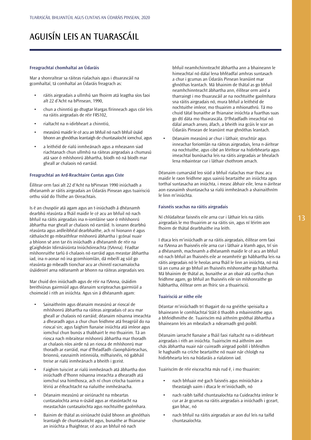## AGUISÍN LEIS AN TUARASCÁIL

## **Freagrachtaí chomhaltaí an Údaráis**

Mar a shonraítear sa ráiteas rialachais agus i dtuarascáil na gcomhaltaí, tá comhaltaí an Údaráis freagrach as:

- ráitis airgeadais a ullmhú san fhoirm atá leagtha síos faoi alt 22 d'Acht na bPinsean, 1990,
- chun a chinntiú go dtugtar léargas fírinneach agus cóir leis na ráitis airgeadais de réir FRS102,
- rialtacht na n-idirbheart a chinntiú,
- measúnú maidir le cé acu an bhfuil nó nach bhfuil úsáid bhonn an ghnóthas leantaigh de chuntasaíocht iomchuí, agus
- a leithéid de rialú inmheánach agus a mheasann siad riachtanach chun ullmhú na ráiteas airgeadais a chumasú atá saor ó mhíshonrú ábhartha, bíodh nó ná bíodh mar gheall ar chalaois nó earráid.

#### **Freagrachtaí an Ard-Reachtaire Cuntas agus Ciste**

Éilítear orm faoi alt 22 d'Acht na bPinsean 1990 iniúchadh a dhéanamh ar ráitis airgeadais an Údaráis Pinsean agus tuairisciú orthu siúd do Thithe an Oireachtais.

Is é an chuspóir atá agam agus an t-iniúchadh á dhéanamh dearbhú réasúnta a fháil maidir le cé acu an bhfuil nó nach bhfuil na ráitis airgeadais ina n-iomláine saor ó mhíshonrú ábhartha mar gheall ar chalaois nó earráid. Is ionann dearbhú réasúnta agus ardleibhéal dearbhaithe, ach ní hionann é agus ráthaíocht go mbraithfear míshonrú ábhartha i gcónaí nuair a bhíonn sé ann tar éis iniúchadh a dhéanamh de réir na gCaighdeán Idirnáisiúnta Iniúchóireachta (ISAnna). Féadtar míshonruithe tarlú ó chalaois nó earráid agus meastar ábhartha iad, ina n-aonar nó ina gcomhiomlán, dá mbeifí ag súil go réasúnta go mbeadh tionchar acu ar chinntí eacnamaíocha úsáideoirí arna ndéanamh ar bhonn na ráiteas airgeadais seo.

Mar chuid den iniúchadh agus de réir na ISAnna, úsáidim breithiúnas gairmiúil agus déanaim sceipteachas gairmiúil a choimeád i rith an iniúchta. Agus sin á dhéanamh agam:

- Sainaithním agus déanaim measúnú ar rioscaí de mhíshonrú ábhartha na ráiteas airgeadais cé acu mar gheall ar chalaois nó earráid; déanaim nósanna imeachta a dhearadh agus a chur chun feidhme atá freagrúil do na rioscaí sin; agus faighim fianaise iniúchta atá imleor agus iomchuí chun bunús a thabhairt le mo thuairim. Tá an riosca nach mbraitear míshonrú ábhartha mar thoradh ar chalaois níos airde ná an riosca de mhíshonrú mar thoradh ar earráid, mar d'fhéadfadh claonpháirteachas, brionnú, easnaimh intinniúla, mífhaisnéis, nó gabháil treise ar rialú inmheánach a bheith i gceist.
- Faighim tuiscint ar rialú inmheánach atá ábhartha don iniúchadh d'fhonn nósanna imeachta a dhearadh atá iomchuí sna himthosca, ach ní chun críocha tuairim a léiriú ar éifeachtacht na rialuithe inmheánacha.
- Déanaim measúnú ar oiriúnacht na mbeartas cuntasaíochta arna n-úsáid agus ar réasúntacht na meastachán cuntasaíochta agus nochtuithe gaolmhara.
- Bainim de thátal as oiriúnacht úsáid bhonn an ghnóthais leantaigh de chuntasaíocht agus, bunaithe ar fhianaise an iniúchta a fhaightear, cé acu an bhfuil nó nach

bhfuil neamhchinnteacht ábhartha ann a bhaineann le himeachtaí nó dálaí lena bhféadfaí amhras suntasach a chur i gcumas an Údaráis Pinsean leanúint mar ghnóthas leantach. Má bhainim de thátal as go bhfuil neamhchinnteacht ábhartha ann, éilítear orm aird a tharraingt i mo thuarascáil ar na nochtuithe gaolmhara sna ráitis airgeadais nó, mura bhfuil a leithéid de nochtuithe imleor, mo thuairim a mhionathrú. Tá mo chuid tátal bunaithe ar fhianaise iniúchta a fuarthas suas go dtí dáta mo thuarascála. D'fhéadfadh imeachtaí nó dálaí amach anseo, áfach, a bheith ina gcúis le scor an Údaráis Pinsean de leanúint mar ghnóthas leantach.

• Déanaim measúnú ar chur i láthair, struchtúr agus inneachar foriomlán na ráiteas airgeadais, lena n-áirítear na nochtuithe, agus cibé an léirítear na hidirbhearta agus imeachtaí bunúsacha leis na ráitis airgeadais ar bhealach lena mbaintear cur i láthair chothrom amach.

Déanaim cumarsáid leo siúd a bhfuil rialachas mar thasc acu maidir le raon feidhme agus uainiú beartaithe an iniúchta agus torthaí suntasacha an iniúchta, i measc ábhair eile, lena n-áirítear aon easnaimh shuntasacha sa rialú inmheánach a shainaithním le linn m'iniúchta.

#### **Faisnéis seachas na ráitis airgeadais**

Ní chlúdaítear faisnéis eile arna cur i láthair leis na ráitis airgeadais le mo thuairim ar na ráitis sin, agus ní léirím aon fhoirm de thátal dearbhaithe ina leith.

I dtaca leis m'iniúchadh ar na ráitis airgeadais, éilítear orm faoi na ISAnna an fhaisnéis eile arna cur i láthair a léamh agus, trí sin a dhéanamh, machnamh a dhéanamh maidir le cé acu an bhfuil nó nach bhfuil an fhaisnéis eile ar neamhréir go hábhartha leis na ráitis airgeadais nó le heolas arna fháil le linn an iniúchta, nó má tá an cuma air go bhfuil an fhaisnéis míshonraithe go hábhartha. Má bhainim de thátal as, bunaithe ar an obair atá curtha chun feidhme agam, go bhfuil an fhaisnéis eile sin míshonraithe go hábhartha, éilítear orm an fhíric sin a thuairisciú.

#### **Tuairisciú ar nithe eile**

Déantar m'iniúchadh trí thagairt do na gnéithe speisialta a bhaineann le comhlachtaí Stáit ó thaobh a mbainistithe agus a bhfeidhmithe de. Tuairiscím má aithním gnóthaí ábhartha a bhaineann leis an mbealach a ndearnadh gnó poiblí.

Déanaim iarracht fianaise a fháil faoi rialtacht na n-idirbheart airgeadais i rith an iniúchta. Tuairiscím má aithním aon chás ábhartha nuair nár cuireadh airgead poiblí i bhfeidhm le haghaidh na críche beartaithe nó nuair nár chloígh na hidirbhearta leis na húdaráis a rialaíonn iad.

Tuairiscím de réir eisceachta más rud é, i mo thuairim:

- nach bhfuair mé gach faisnéis agus míniúchán a theastaigh uaim i dtaca le m'iniúchadh, nó
- nach raibh taifid chuntasaíochta na Cuideachta imleor le cur ar ár gcumas na ráitis airgeadais a iniúchadh i gceart, gan bhac, nó
- nach bhfuil na ráitis airgeadais ar aon dul leis na taifid chuntasaíochta.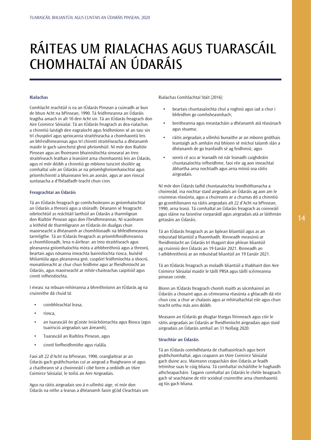## <span id="page-14-0"></span>RÁITEAS UM RIALACHAS AGUS TUARASCÁIL CHOMHALTAÍ AN ÚDARÁIS

## **Rialachas**

Comhlacht reachtúil is ea an tÚdarás Pinsean a cuireadh ar bun de bhun Acht na bPinsean, 1990. Tá feidhmeanna an Údaráis leagtha amach in alt 10 den Acht sin. Tá an tÚdarás freagrach don Aire Coimirce Sóisialaí. Tá an tÚdarás freagrach as dea-rialachas a chinntiú laistigh den eagraíocht agus feidhmíonn sé an tasc sin trí chuspóirí agus spriocanna straitéiseacha a chomhaontú leis an bhFeidhmeannas agus trí chinntí straitéiseacha a dhéanamh maidir le gach saincheist ghnó phríomhúil. Ní mór don Rialtóir Pinsean agus an fhoireann bhainistíochta sinsearaí an treo straitéiseach leathan a leanúint arna chomhaontú leis an Údarás, agus ní mór dóibh a chinntiú go mbíonn tuiscint shoiléir ag comhaltaí uile an Údaráis ar na príomhghníomhaíochtaí agus príomhchinntí a bhaineann leis an aonán, agus ar aon rioscaí suntasacha a d'fhéadfadh teacht chun cinn.

## **Freagrachtaí an Údaráis**

Tá an tÚdarás freagrach go comhchoiteann as gníomhaíochtaí an Údaráis a threorú agus a stiúradh. Déanann sé freagracht oibríochtúil as reáchtáil laethúil an Údaráis a tharmligean don Rialtóir Pinsean agus don Fheidhmeannas. Ní scaoileann a leithéid de tharmligeann an tÚdarás ón dualgas chun maoirseacht a dhéanamh ar chomhlíonadh na bhfeidhmeanna tarmligthe. Tá an tÚdarás freagrach as príomhfheidhmeanna a chomhlíonadh, lena n-áirítear: an treo straitéiseach agus pleananna gníomhaíochta móra a athbhreithniú agus a threorú, beartais agus nósanna imeachta bainistíochta riosca, buiséid bhliantúla agus pleananna gnó, cuspóirí feidhmíochta a shocrú, monatóireacht ar chur chun feidhme agus ar fheidhmíocht an Údaráis, agus maoirseacht ar mhór-chaiteachas caipitiúil agus cinntí infheistíochta.

I measc na mbuan-mhíreanna a bhreithníonn an tÚdarás ag na cruinnithe dá chuid tá:

- coinbhleachtaí leasa,
- riosca,
- an tuarascáil ón gCoiste Iniúchóireachta agus Riosca (agus tuairisciú airgeadais san áireamh),
- Tuarascáil an Rialtóra Pinsean, agus
- cinntí forfheidhmithe agus rialála.

Faoi alt 22 d'Acht na bPinsean, 1990, ceanglaítear ar an Údarás gach gnáthchuntas cuí ar airgead a fhaigheann sé agus a chaitheann sé a choinneáil i cibé foirm a ordóidh an tAire Coimirce Sóisialaí, le toiliú an Aire Airgeadais.

Agus na ráitis airgeadais seo á n-ullmhú aige, ní mór don Údarás na nithe a leanas a dhéanamh faoin gCód Cleachtais um Rialachas Comhlachtaí Stáit (2016):

- beartais chuntasaíochta chuí a roghnú agus iad a chur i bhfeidhm go comhsheasmhach;
- breitheanna agus meastacháin a dhéanamh atá réasúnach agus stuama;
- ráitis airgeadais a ullmhú bunaithe ar an mbonn gnóthais leantaigh ach amháin má bhíonn sé míchuí talamh slán a dhéanamh de go leanfaidh sé ag feidhmiú; agus
- sonrú cé acu ar leanadh nó nár leanadh caighdeáin chuntasaíochta infheidhme, faoi réir ag aon imeachtaí ábhartha arna nochtadh agus arna míniú sna ráitis airgeadais.

Ní mór don Údarás taifid chuntasaíochta leordhóthanacha a choimeád, ina nochtar staid airgeadais an Údaráis ag aon am le cruinneas réasúnta, agus a chuireann ar a chumas dó a chinntiú go gcomhlíonann na ráitis airgeadais alt 22 d'Acht na bPinsean, 1990, arna leasú. Tá comhaltaí an Údaráis freagrach as coinneáil agus sláine na faisnéise corparáidí agus airgeadais atá ar láithreán gréasáin an Údaráis.

Tá an tÚdarás freagrach as an bplean bliantúil agus as an mbuiséad bliantúil a fhaomhadh. Rinneadh measúnú ar fheidhmíocht an Údaráis trí thagairt don phlean bliantúil ag cruinniú den Údarás an 19 Eanáir 2021. Rinneadh an t-athbhreithniú ar an mbuiséad bliantúil an 19 Eanáir 2021.

Tá an tÚdarás freagrach as moladh bliantúil a thabhairt don Aire Coimirce Sóisialaí maidir le táillí PRSA agus táillí scéimeanna pinsean ceirde.

Bíonn an tÚdarás freagrach chomh maith as sócmhainní an Údaráis a chosaint agus as céimeanna réasúnta a ghlacadh dá réir chun cosc a chur ar chalaois agus ar mhírialtachtaí eile agus chun teacht orthu más ann dóibh.

Measann an tÚdarás go dtugtar léargas fírinneach agus cóir le ráitis airgeadais an Údaráis ar fheidhmíocht airgeadais agus staid airgeadais an Údaráis amhail an 31 Nollaig 2020.

## **Struchtúr an Údaráis**

Tá an tÚdarás comhdhéanta de chathaoirleach agus beirt gnáthchomhaltaí, agus ceapann an tAire Coimirce Sóisialaí gach duine acu. Maireann ceapacháin don Údarás ar feadh tréimhse suas le cúig bliana. Tá comhaltaí incháilithe le haghaidh athcheapacháin. Tagann comhaltaí an Údaráis le chéile beagnach gach sé seachtaine de réir sceideal cruinnithe arna chomhaontú ag tús gach bliana.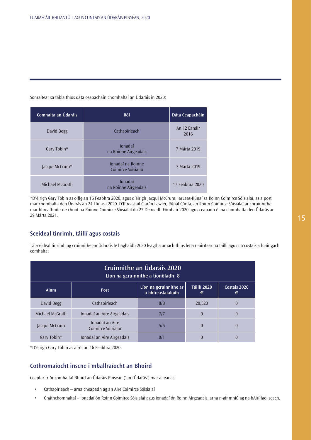## Sonraítear sa tábla thíos dáta ceapacháin chomhaltaí an Údaráis in 2020:

| Comhalta an Údaráis | Ról                                     | Dáta Ceapacháin      |
|---------------------|-----------------------------------------|----------------------|
| David Begg          | Cathaoirleach                           | An 12 Eanáir<br>2016 |
| Gary Tobin*         | Ionadaí<br>na Roinne Airgeadais         | 7 Márta 2019         |
| Jacqui McCrum*      | Jonadaí na Roinne<br>Coimirce Sóisialaí | 7 Márta 2019         |
| Michael McGrath     | Ionadaí<br>na Roinne Airgeadais         | 17 Feabhra 2020      |

\*D'éirigh Gary Tobin as oifig an 16 Feabhra 2020, agus d'éirigh Jacqui McCrum, iarLeas-Rúnaí sa Roinn Coimirce Sóisialaí, as a post mar chomhalta den Údarás an 24 Lúnasa 2020. D'fhreastail Ciarán Lawler, Rúnaí Cúnta, an Roinn Coimirce Sóisialaí ar chruinnithe mar bhreathnóir de chuid na Roinne Coimirce Sóisialaí ón 27 Deireadh Fómhair 2020 agus ceapadh é ina chomhalta den Údarás an 29 Márta 2021.

## **Sceideal tinrimh, táillí agus costais**

Tá sceideal tinrimh ag cruinnithe an Údaráis le haghaidh 2020 leagtha amach thíos lena n-áirítear na táillí agus na costais a fuair gach comhalta:

| <b>Cruinnithe an Údaráis 2020</b><br>Líon na gcruinnithe a tionóladh: 8                                            |                                       |     |          |          |
|--------------------------------------------------------------------------------------------------------------------|---------------------------------------|-----|----------|----------|
| <b>Táillí 2020</b><br>Líon na gcruinnithe ar<br>Costais 2020<br>Ainm<br><b>Post</b><br>a bhfreastalaíodh<br>€<br>€ |                                       |     |          |          |
| David Begg                                                                                                         | Cathaoirleach                         | 8/8 | 20,520   | $\Omega$ |
| Michael McGrath                                                                                                    | Ionadaí an Aire Airgeadais            | 7/7 | $\theta$ | $\theta$ |
| Jacqui McCrum                                                                                                      | Ionadaí an Aire<br>Coimirce Sóisialaí | 5/5 | $\theta$ | $\theta$ |
| Gary Tobin*                                                                                                        | Ionadaí an Aire Airgeadais            | 0/  | 0        |          |

\*D'éirigh Gary Tobin as a ról an 16 Feabhra 2020.

## **Cothromaíocht inscne i mballraíocht an Bhoird**

Ceaptar triúr comhaltaí Bhord an Údaráis Pinsean ("an tÚdarás") mar a leanas:

- Cathaoirleach arna cheapadh ag an Aire Coimirce Sóisialaí
- Gnáthchomhaltaí ionadaí ón Roinn Coimirce Sóisialaí agus ionadaí ón Roinn Airgeadais, arna n-ainmniú ag na hAirí faoi seach.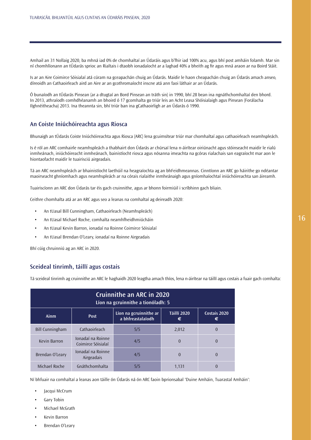Amhail an 31 Nollaig 2020, ba mhná iad 0% de chomhaltaí an Údaráis agus b'fhir iad 100% acu, agus bhí post amháin folamh. Mar sin ní chomhlíonann an tÚdarás sprioc an Rialtais i dtaobh ionadaíocht ar a laghad 40% a bheith ag fir agus mná araon ar na Boird Stáit.

Is ar an Aire Coimirce Sóisialaí atá cúram na gceapachán chuig an Údarás. Maidir le haon cheapachán chuig an Údarás amach anseo, díreoidh an Cathaoirleach aird an Aire ar an gcothromaíocht inscne atá ann faoi láthair ar an Údarás.

Ó bunaíodh an tÚdarás Pinsean (ar a dtugtaí an Bord Pinsean an tráth sin) in 1990, bhí 28 bean ina ngnáthchomhaltaí den bhord. In 2013, athraíodh comhdhéanamh an bhoird ó 17 gcomhalta go triúr leis an Acht Leasa Shóisialaigh agus Pinsean (Forálacha Ilghnéitheacha) 2013. Ina theannta sin, bhí triúr ban ina gCathaoirligh ar an Údarás ó 1990.

## **An Coiste Iniúchóireachta agus Riosca**

Bhunaigh an tÚdarás Coiste Iniúchóireachta agus Riosca (ARC) lena gcuimsítear triúr mar chomhaltaí agus cathaoirleach neamhspleách.

Is é ról an ARC comhairle neamhspleách a thabhairt don Údarás ar chúrsaí lena n-áirítear oiriúnacht agus stóinseacht maidir le rialú inmheánach, iniúchóireacht inmheánach, bainistíocht riosca agus nósanna imeachta na gcóras rialachais san eagraíocht mar aon le hiontaofacht maidir le tuairisciú airgeadais.

Tá an ARC neamhspleách ar bhainistíocht laethúil na heagraíochta ag an bhFeidhmeannas. Cinntíonn an ARC go háirithe go ndéantar maoirseacht ghníomhach agus neamhspleách ar na córais rialaithe inmheánaigh agus gníomhaíochtaí iniúchóireachta san áireamh.

Tuairiscíonn an ARC don Údarás tar éis gach cruinnithe, agus ar bhonn foirmiúil i scríbhinn gach bliain.

Ceithre chomhalta atá ar an ARC agus seo a leanas na comhaltaí ag deireadh 2020:

- An tUasal Bill Cunningham, Cathaoirleach (Neamhspleách)
- An tUasal Michael Roche, comhalta neamhfheidhmiúcháin
- An tUasal Kevin Barron, ionadaí na Roinne Coimirce Sóisialaí
- An tUasal Brendan O'Leary, ionadaí na Roinne Airgeadais

Bhí cúig chruinniú ag an ARC in 2020.

## **Sceideal tinrimh, táillí agus costais**

Tá sceideal tinrimh ag cruinnithe an ARC le haghaidh 2020 leagtha amach thíos, lena n-áirítear na táillí agus costais a fuair gach comhalta:

| Cruinnithe an ARC in 2020<br>Líon na gcruinnithe a tionóladh: 5                                                    |                                         |     |                |          |
|--------------------------------------------------------------------------------------------------------------------|-----------------------------------------|-----|----------------|----------|
| <b>Táillí 2020</b><br>Líon na gcruinnithe ar<br>Costais 2020<br>Ainm<br><b>Post</b><br>a bhfreastalaíodh<br>€<br>€ |                                         |     |                |          |
| <b>Bill Cunningham</b>                                                                                             | Cathaoirleach                           | 5/5 | 2,012          | $\Omega$ |
| Kevin Barron                                                                                                       | Jonadaí na Roinne<br>Coimirce Sóisialaí | 4/5 | $\overline{0}$ | $\theta$ |
| Brendan O'Leary                                                                                                    | Ionadaí na Roinne<br>Airgeadais         | 4/5 | $\Omega$       | $\theta$ |
| Michael Roche                                                                                                      | Gnáthchomhalta                          | 5/5 | 1.131          |          |

Ní bhfuair na comhaltaí a leanas aon táille ón Údarás ná ón ARC faoin bprionsabal 'Duine Amháin, Tuarastal Amháin':

- Jacqui McCrum
- Gary Tobin
- Michael McGrath
- Kevin Barron
- Brendan O'Leary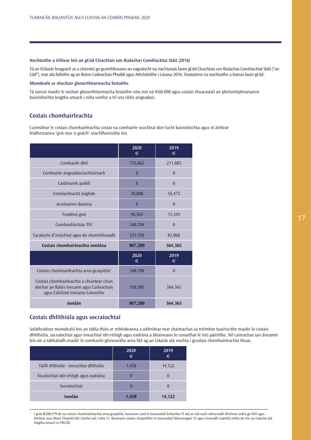## **Nochtuithe a éilítear leis an gCód Cleachtais um Rialachas Comhlachtaí Stáit (2016)**

Tá an tÚdarás freagrach as a chinntiú go gcomhlíonann an eagraíocht na riachtanais faoin gCód Cleachtais um Rialachas Comhlachtaí Stáit ("an Cód"), mar atá foilsithe ag an Roinn Caiteachais Phoiblí agus Athchóirithe i Lúnasa 2016. Teastaíonn na nochtuithe a leanas faoin gCód:

## **Miondealú ar shochair ghearrthéarmacha fostaithe**

Tá sonraí maidir le sochair ghearrthéarmacha fostaithe níos mó ná €60,000 agus costais thuarastail an phríomhphearsanra bainistíochta leagtha amach i nóta uimhir a trí sna ráitis airgeadais.

## **Costais chomhairleachta**

Cuimsítear le costais chomhairleachta costas na comhairle seachtraí don lucht bainistíochta agus ní áirítear feidhmeanna 'gnó mar is gnách' seachfhoinsithe leo.

|                                                                                                                           | 2020<br>€      | 2019<br>€ |
|---------------------------------------------------------------------------------------------------------------------------|----------------|-----------|
| Comhairle dhlí                                                                                                            | 155,662        | 211,685   |
| Comhairle airgeadais/achtúireach                                                                                          | $\theta$       | $\theta$  |
| Caidreamh poiblí                                                                                                          | $\theta$       | $\theta$  |
| Comhairleacht taighde                                                                                                     | 30,808         | 55,475    |
| Acmhainní daonna                                                                                                          | $\overline{0}$ | $\theta$  |
| Feabhsú gnó                                                                                                               | 40,565         | 13,345    |
| Comhairliúchán TFC                                                                                                        | 348,704        | $\theta$  |
| Tacaíocht d'iniúchtaí agus do chomhlíonadh                                                                                | 331,550        | 83,860    |
| Costais chomhairleachta iomlána                                                                                           | 907,289        | 364,365   |
|                                                                                                                           | 2020<br>€      | 2019<br>€ |
| Costais chomhairleachta arna gcaipitliú <sup>1</sup>                                                                      | 348,704        | $\theta$  |
| Costais chomhairleachta a chuirtear chun<br>dochar an Ráitis Ioncaim agus Caiteachais<br>agus Cúlchistí Ioncaim Coinnithe | 558,585        | 364,365   |
| Iomlán                                                                                                                    | 907,289        | 364,365   |

## **Costais dhlíthiúla agus socraíochtaí**

Soláthraítear miondealú leis an tábla thíos ar mhéideanna a aithnítear mar chaiteachas sa tréimhse tuairiscithe maidir le costais dhlíthiúla, socraíochtaí agus imeachtaí idir-réitigh agus eadrána a bhaineann le conarthaí le tríú páirtithe. Níl caiteachas san áireamh leis sin a tabhaíodh maidir le comhairle ghinearálta arna fáil ag an Údarás atá nochta i gcostais chomhairleachta thuas.

|                                        | 2020<br>€ | 2019<br>€ |
|----------------------------------------|-----------|-----------|
| Táillí dlíthiúla - imeachtaí dlíthiúla | 1,458     | 14,122    |
| Íocaíochtaí idir-réitigh agus eadrána  |           |           |
| Socraíochtaí                           |           |           |
| Iomlán                                 | 1,458     | 14,122    |

<sup>1</sup> I gcás €288,479 de na costais chomhairleachta arna gcaipitliú, baineann siad le tionscadail forbartha TF atá ar siúl nach ndearnadh dímheas orthu go fóill agus léirítear mar Obair Chaipitil Idir Lámha iad i nóta 11. Baineann costais chaipitlithe le tionscadail bhonneagair TF agus rinneadh caipitliú orthu de réir na rialacha atá leagtha amach in FRS102.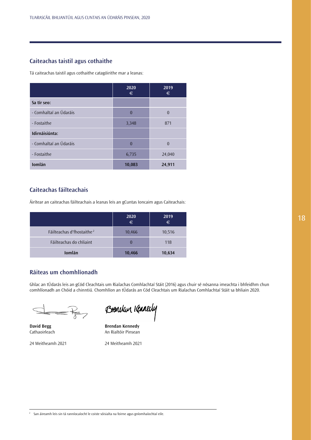## **Caiteachas taistil agus cothaithe**

Tá caiteachas taistil agus cothaithe catagóirithe mar a leanas:

|                        | 2020<br>€ | 2019<br>€ |
|------------------------|-----------|-----------|
| Sa tír seo:            |           |           |
| - Comhaltaí an Údaráis | $\theta$  | $\theta$  |
| - Fostaithe            | 3,348     | 871       |
| Idirnáisiúnta:         |           |           |
| - Comhaltaí an Údaráis | $\theta$  | $\theta$  |
| - Fostaithe            | 6,735     | 24,040    |
| Iomlán                 | 10,083    | 24,911    |

## **Caiteachas fáilteachais**

Áirítear an caiteachas fáilteachais a leanas leis an gCuntas Ioncaim agus Caiteachais:

|                                       | 2020<br>$\epsilon$ | 2019<br>$\epsilon$ |
|---------------------------------------|--------------------|--------------------|
| Fáilteachas d'fhostaithe <sup>2</sup> | 10,466             | 10,516             |
| Fáilteachas do chliaint               |                    | 118                |
| Iomlán                                | 10,466             | 10,634             |

## **Ráiteas um chomhlíonadh**

Ghlac an tÚdarás leis an gCód Cleachtais um Rialachas Comhlachtaí Stáit (2016) agus chuir sé nósanna imeachta i bhfeidhm chun comhlíonadh an Chóid a chinntiú. Chomhlíon an tÚdarás an Cód Cleachtais um Rialachas Comhlachtaí Stáit sa bhliain 2020.

 $\Rightarrow$ 

| Brendan Kennedy |  |
|-----------------|--|
|-----------------|--|

**David Begg Brendan Kennedy**<br>
Cathaoirleach **Brendan Kennedy**<br>
An Rialtóir Pinsean An Rialtóir Pinsean

24 Meitheamh 2021 24 Meitheamh 2021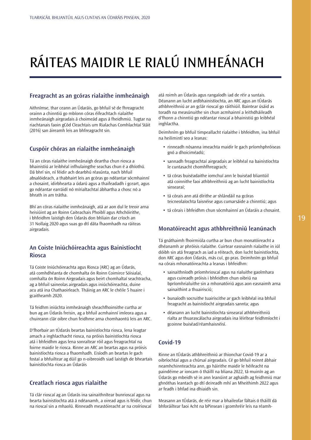# <span id="page-19-0"></span>RÁITEAS MAIDIR LE RIALÚ INMHEÁNACH

## **Freagracht as an gcóras rialaithe inmheánaigh**

Aithnímse, thar ceann an Údaráis, go bhfuil sé de fhreagracht orainn a chinntiú go mbíonn córas éifeachtach rialaithe inmheánaigh airgeadais á choimeád agus á fheidhmiú. Tugtar na riachtanais faoin gCód Cleachtais um Rialachas Comhlachtaí Stáit (2016) san áireamh leis an bhfreagracht sin.

## **Cuspóir chóras an rialaithe inmheánaigh**

Tá an córas rialaithe inmheánaigh deartha chun riosca a bhainistiú ar leibhéal infhulaingthe seachas chun é a dhíothú. Dá bhrí sin, ní féidir ach dearbhú réasúnta, nach bhfuil absalóideach, a thabhairt leis an gcóras go ndéantar sócmhainní a chosaint, idirbhearta a údarú agus a thaifeadadh i gceart, agus go ndéantar earráidí nó mírialtachtaí ábhartha a chosc nó a bhrath in am trátha.

Bhí an córas rialaithe inmheánaigh, atá ar aon dul le treoir arna heisiúint ag an Roinn Caiteachais Phoiblí agus Athchóirithe, i bhfeidhm laistigh den Údarás don bhliain dar críoch an 31 Nollaig 2020 agus suas go dtí dáta fhaomhadh na ráiteas airgeadais.

## **An Coiste Iniúchóireachta agus Bainistíocht Riosca**

Tá Coiste Iniúchóireachta agus Riosca (ARC) ag an Údarás, atá comhdhéanta de chomhalta ón Roinn Coimirce Sóisialaí, comhalta ón Roinn Airgeadais agus beirt chomhaltaí seachtracha, ag a bhfuil saineolas airgeadais agus iniúchóireachta, duine acu atá ina Chathaoirleach. Tháinig an ARC le chéile 5 huaire i gcaitheamh 2020.

Tá feidhm iniúchta inmheánaigh sheachfhoinsithe curtha ar bun ag an Údarás freisin, ag a bhfuil acmhainní imleora agus a chuireann clár oibre chun feidhme arna chomhaontú leis an ARC.

D'fhorbair an tÚdarás beartas bainistíochta riosca, lena leagtar amach a inghlacthacht riosca, na próisis bainistíochta riosca atá i bhfeidhm agus lena sonraítear róil agus freagrachtaí na foirne maidir le riosca. Rinne an ARC an beartas agus na próisis bainistíochta riosca a fhaomhadh. Eisíodh an beartas le gach fostaí a bhfuiltear ag dúil go n-oibreoidh siad laistigh de bheartais bainistíochta riosca an Údaráis

## **Creatlach riosca agus rialaithe**

Tá clár rioscaí ag an Údarás ina sainaithnítear bunrioscaí agus na bearta bainistíochta atá á ndéanamh, a oiread agus is féidir, chun na rioscaí sin a mhaolú. Rinneadh meastóireacht ar na croírioscaí atá roimh an Údarás agus rangaíodh iad de réir a suntais. Déanann an lucht ardbhainistíochta, an ARC agus an tÚdarás athbhreithniú ar an gclár rioscaí go ráithiúil. Baintear úsáid as toradh na measúnuithe sin chun acmhainní a leithdháileadh d'fhonn a chinntiú go ndéantar rioscaí a bhainistiú go leibhéal inghlactha.

Deimhním go bhfuil timpeallacht rialaithe i bhfeidhm, ina bhfuil na heilimintí seo a leanas:

- rinneadh nósanna imeachta maidir le gach príomhphróiseas gnó a dhoiciméadú;
- sannadh freagrachtaí airgeadais ar leibhéal na bainistíochta le cuntasacht chomhfhreagrach;
- tá córas buiséadaithe iomchuí ann le buiséad bliantúil atá coinnithe faoi athbhreithniú ag an lucht bainistíochta sinsearaí;
- tá córais ann atá dírithe ar shlándáil na gcóras teicneolaíochta faisnéise agus cumarsáide a chinntiú; agus
- tá córais i bhfeidhm chun sócmhainní an Údaráis a chosaint.

## **Monatóireacht agus athbhreithniú leanúnach**

Tá gnáthaimh fhoirmiúla curtha ar bun chun monatóireacht a dhéanamh ar phróisis rialaithe. Cuirtear easnaimh rialaithe in iúl dóibh sin atá freagrach as iad a réiteach, don lucht bainistíochta, don ARC agus don Údarás, más cuí, go pras. Deimhním go bhfuil na córais mhonatóireachta a leanas i bhfeidhm:

- sainaithníodh príomhrioscaí agus na rialuithe gaolmhara agus cuireadh próisis i bhfeidhm chun oibriú na bpríomhrialuithe sin a mhonatóiriú agus aon easnaimh arna sainaithint a thuairisciú;
- bunaíodh socruithe tuairiscithe ar gach leibhéal ina bhfuil freagracht as bainistíocht airgeadais sannta; agus
- déanann an lucht bainistíochta sinsearaí athbhreithniú rialta ar thuarascálacha airgeadais ina léirítear feidhmíocht i gcoinne buiséad/réamhaisnéisí.

## **Covid-19**

Rinne an tÚdarás athbhreithniú ar thionchar Covid-19 ar a oibríochtaí agus a chúrsaí airgeadais. Cé go bhfuil roinnt ábhair neamhchinnteachta ann, go háirithe maidir le héifeacht na paindéime ar ioncam ó tháillí na bliana 2022, tá muinín ag an Údarás go mbeidh sé in ann leanúint ar aghaidh ag feidhmiú mar ghnóthas leantach go dtí deireadh mhí an Mheithimh 2022 agus ar feadh i bhfad ina dhiaidh sin.

Measann an tÚdarás, de réir mar a bhaileofar fáltais ó tháillí dá bhforáiltear faoi Acht na bPinsean i gcomhréir leis na réamh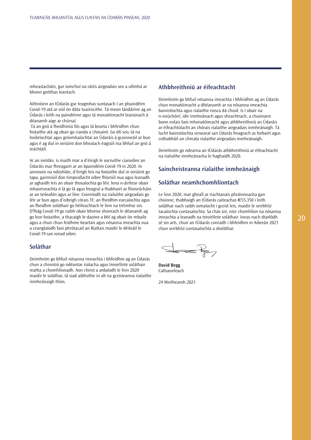mheastacháin, gur iomchuí na ráitis airgeadais seo a ullmhú ar bhonn gnóthas leantach.

Aithníonn an tÚdarás gur teagmhas suntasach í an phaindéim Covid-19 atá ar siúl ón dáta tuairiscithe. Tá meon lándáirire ag an Údarás i leith na paindéime agus tá monatóireacht leanúnach á déanamh aige ar chúrsaí.

 Tá an gnó á fheidhmiú fós agus tá bearta i bhfeidhm chun fostaithe atá ag obair go cianda a chosaint. Go dtí seo, tá na hoibríochtaí agus gníomhaíochtaí an Údaráis á gcoinneáil ar bun agus é ag dul in oiriúint don bhealach éagsúil ina bhfuil an gnó á reáchtáil.

Ar an iomlán, is maith mar a d'éirigh le socruithe cianoibre an Údaráis mar fhreagairt ar an bpaindéim Covid-19 in 2020. In ainneoin na ndúshlán, d'éirigh leis na fostaithe dul in oiriúint go tapa, gairmiúil don timpeallacht oibre fhíorúil nua agus leanadh ar aghaidh leis an obair thosaíochta go léir, lena n-áirítear obair mhaoirseachta ó lá go lá agus freagraí a thabhairt ar fhiosrúcháin ar an teileafón agus ar líne. Coinníodh na rialuithe airgeadais go léir ar bun agus d'oibrigh córais TF, an fheidhm earcaíochta agus an fheidhm soláthair go héifeachtach le linn na tréimhse sin. D'fhág Covid-19 go raibh obair bhreise shonrach le déanamh ag go leor fostaithe, a thacaigh le daoine a bhí ag obair ón mbaile agus a chuir chun feidhme beartais agus nósanna imeachta nua a ceanglaíodh faoi phrótacail an Rialtais maidir le déileáil le Covid-19 san ionad oibre.

## **Soláthar**

Deimhním go bhfuil nósanna imeachta i bhfeidhm ag an Údarás chun a chinntiú go ndéantar rialacha agus treoirlínte soláthair reatha a chomhlíonadh. Aon cheist a ardaíodh le linn 2020 maidir le soláthar, tá siad aibhsithe in alt na gceisteanna rialaithe inmheánaigh thíos.

## **Athbhreithniú ar éifeachtacht**

Deimhním go bhfuil nósanna imeachta i bhfeidhm ag an Údarás chun monatóireacht a dhéanamh ar na nósanna imeachta bainistíochta agus rialaithe riosca dá chuid. Is í obair na n-iniúchóirí, idir inmheánach agus sheachtrach, a chuireann bonn eolais faoi mhonatóireacht agus athbhreithniú an Údaráis ar éifeachtúlacht an chórais rialaithe airgeadais inmheánaigh. Tá lucht bainistíochta sinsearaí san Údarás freagrach as forbairt agus cothabháil an chreata rialaithe airgeadais inmheánaigh.

Deimhním go ndearna an tÚdarás athbhreithniú ar éifeachtacht na rialuithe inmheánacha le haghaidh 2020.

## **Saincheisteanna rialaithe inmheánaigh**

## **Soláthar neamhchomhlíontach**

Le linn 2020, mar gheall ar riachtanais phráinneacha gan choinne, thabhaigh an tÚdarás caiteachas €55,350 i leith soláthar nach raibh iomaíocht i gceist leis, maidir le seirbhísí tacaíochta cuntasaíochta. Sa chás sin, níor chomhlíon na nósanna imeachta a leanadh na treoirlínte soláthair. Ionas nach dtarlódh sé sin arís, chuir an tÚdarás conradh i bhfeidhm in Aibreán 2021 chun seirbhísí cuntasaíochta a sholáthar.

**David Begg** Cathaoirleach

24 Meitheamh 2021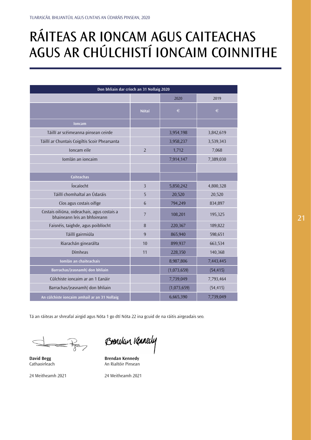## <span id="page-21-0"></span>RÁITEAS AR IONCAM AGUS CAITEACHAS AGUS AR CHÚLCHISTÍ IONCAIM COINNITHE

| Don bhliain dar críoch an 31 Nollaig 2020                                   |                |             |           |
|-----------------------------------------------------------------------------|----------------|-------------|-----------|
|                                                                             |                | 2020        | 2019      |
|                                                                             | <b>Nótaí</b>   | $\in$       | $\in$     |
| <b>loncam</b>                                                               |                |             |           |
| Táillí ar scéimeanna pinsean ceirde                                         |                | 3,954,198   | 3,842,619 |
| Táillí ar Chuntais Coigiltis Scoir Phearsanta                               |                | 3,958,237   | 3,539,343 |
| Ioncam eile                                                                 | $\overline{2}$ | 1,712       | 7,068     |
| Iomlán an ioncaim                                                           |                | 7,914,147   | 7,389,030 |
|                                                                             |                |             |           |
| <b>Caiteachas</b>                                                           |                |             |           |
| Íocaíocht                                                                   | $\overline{3}$ | 5,850,242   | 4,800,328 |
| Táillí chomhaltaí an Údaráis                                                | 5              | 20,520      | 20,520    |
| Cíos agus costais oifige                                                    | 6              | 794,249     | 834,897   |
| Costais oiliúna, oideachais, agus costais a<br>bhaineann leis an bhfoireann | $\overline{7}$ | 108,201     | 195,325   |
| Faisnéis, taighde, agus poiblíocht                                          | 8              | 220,367     | 189,822   |
| Táillí gairmiúla                                                            | 9              | 865,940     | 598,651   |
| Riarachán ginearálta                                                        | 10             | 899,937     | 663,534   |
| Dímheas                                                                     | 11             | 228,350     | 140,368   |
| Iomlán an chaiteachais                                                      |                | 8,987,806   | 7,443,445 |
| Barrachas/(easnamh) don bhliain                                             |                | (1,073,659) | (54, 415) |
| Cúlchiste ioncaim ar an 1 Eanáir                                            |                | 7,739,049   | 7,793,464 |
| Barrachas/(easnamh) don bhliain                                             |                | (1,073,659) | (54, 415) |
| An cúlchiste ioncaim amhail ar an 31 Nollaig                                |                | 6,665,390   | 7,739,049 |

Tá an ráiteas ar shreafaí airgid agus Nóta 1 go dtí Nóta 22 ina gcuid de na ráitis airgeadais seo.

 $\overline{\mathbb{R}}$ 

Brencken Kennedy

**David Begg Brendan Kennedy**<br> **Cathaoirleach**<br> **An Rialtóir Pinsean An Rialtóir Pinsean** 

24 Meitheamh 2021 24 Meitheamh 2021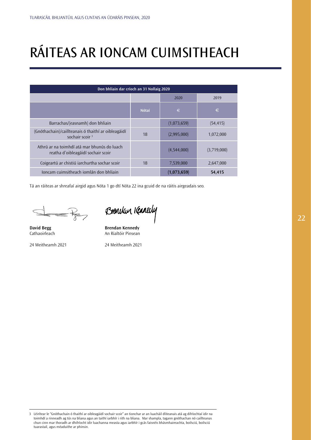# <span id="page-22-0"></span>RÁITEAS AR IONCAM CUIMSITHEACH

| Don bhliain dar críoch an 31 Nollaig 2020                                         |              |             |             |
|-----------------------------------------------------------------------------------|--------------|-------------|-------------|
| 2020<br>2019                                                                      |              |             |             |
|                                                                                   | <b>Nótaí</b> | €           | €           |
| Barrachas/(easnamh) don bhliain                                                   |              | (1,073,659) | (54, 415)   |
| (Gnóthachain)/caillteanais ó thaithí ar oibleagáidí<br>sochair scoir $3$          | 18           | (2,995,000) | 1,072,000   |
| Athrú ar na toimhdí atá mar bhunús do luach<br>reatha d'oibleagáidí sochair scoir |              | (4,544,000) | (3,719,000) |
| Coigeartú ar chistiú iarchurtha sochar scoir                                      | 18           | 7,539,000   | 2,647,000   |
| Joncam cuimsitheach iomlán don bhliain                                            |              | (1,073,659) | 54,415      |

Tá an ráiteas ar shreafaí airgid agus Nóta 1 go dtí Nóta 22 ina gcuid de na ráitis airgeadais seo.

 $\overrightarrow{K}$ 

Brencken Kanedy

**David Begg Brendan Kennedy**<br>
Cathaoirleach **Brendan Kennedy**<br>
An Rialtóir Pinsean An Rialtóir Pinsean

24 Meitheamh 2021 24 Meitheamh 2021

3 Léirítear le "Gnóthachain ó thaithí ar oibleagáidí sochair scoir" an tionchar ar an luacháil dliteanais atá ag difríochtaí idir na toimhdí a rinneadh ag tús na bliana agus an taithí iarbhír i rith na bliana. Mar shampla, tagann gnóthachan nó caillteanas chun cinn mar thoradh ar dhifríocht idir luachanna measta agus iarbhír i gcás faisnéis bhásmhaireachta, boilsciú, boilsciú tuarastail, agus méaduithe ar phinsin.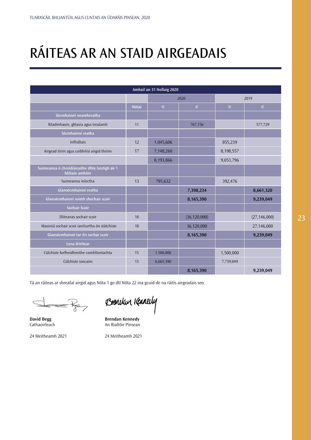## <span id="page-23-0"></span>RÁITEAS AR AN STAID AIRGEADAIS

| Amhail an 31 Nollaig 2020                                        |       |           |                |           |                |
|------------------------------------------------------------------|-------|-----------|----------------|-----------|----------------|
|                                                                  |       | 2020      |                | 2019      |                |
|                                                                  | Nótaí | $\in$     | $\in$          | €         | $\in$          |
| Sócmhainní neamhreatha                                           |       |           |                |           |                |
| Réadmhaoin, gléasra agus trealamh                                | 11    |           | 767,156        |           | 577,729        |
| Sócmhainní reatha                                                |       |           |                |           |                |
| Infháltais                                                       | 12    | 1,045,606 |                | 855,239   |                |
| Airgead tirim agus coibhéisí airgid thirim                       | 17    | 7,148,260 |                | 8,198,557 |                |
|                                                                  |       | 8,193,866 |                | 9,053,796 |                |
| Suimeanna ó chreidiúnaithe dlite laistigh de 1<br>bhliain amháin |       |           |                |           |                |
| Suimeanna iníoctha                                               | 13    | 795,632   |                | 392,476   |                |
| Glansócmhainní reatha                                            |       |           | 7,398,234      |           | 8,661,320      |
| Glansócmhainní roimh shochair scoir                              |       |           | 8,165,390      |           | 9,239,049      |
| Sochair Scoir                                                    |       |           |                |           |                |
| Dliteanas sochair scoir                                          | 18    |           | (36, 120, 000) |           | (27, 146, 000) |
| Maoiniú sochair scoir iarchurtha ón státchiste                   | 18    |           | 36,120,000     |           | 27,146,000     |
| Glansócmhainní tar éis sochar scoir                              |       |           | 8,165,390      |           | 9,239,049      |
| Lena léirítear                                                   |       |           |                |           |                |
| Cúlchiste forfheidhmithe comhlíontachta                          | 15    | 1,500,000 |                | 1,500,000 |                |
| Cúlchiste ioncaim                                                | 15    | 6,665,390 |                | 7,739,049 |                |
|                                                                  |       |           | 8,165,390      |           | 9,239,049      |

Tá an ráiteas ar shreafaí airgid agus Nóta 1 go dtí Nóta 22 ina gcuid de na ráitis airgeadais seo.

 $\overleftrightarrow{K}$ 

Brencken Kannedy

**David Begg Brendan Kennedy**<br>
Cathaoirleach **Brendan Kennedy**<br>
An Rialtóir Pinsean An Rialtóir Pinsean

24 Meitheamh 2021 24 Meitheamh 2021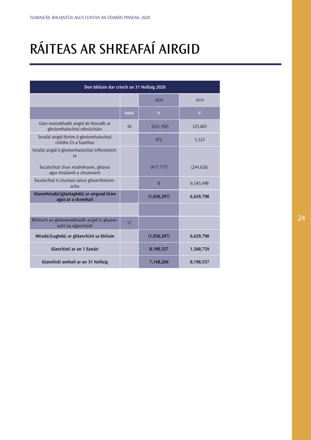# <span id="page-24-0"></span>RÁITEAS AR SHREAFAÍ AIRGID

| Don bhliain dar críoch an 31 Nollaig 2020                             |              |                |            |
|-----------------------------------------------------------------------|--------------|----------------|------------|
|                                                                       |              | 2020           | 2019       |
|                                                                       | <b>Nótaí</b> | €              | €          |
| Glan-insreabhadh airgid de thoradh ar<br>ghníomhaíochtaí oibriúcháin  | 16           | (633, 192)     | 325,603    |
| Sreafaí airgid thirim ó ghníomhaíochtaí<br>cistithe Ús a fuarthas     |              | 672            | 3,323      |
| Sreafaí airgid ó ghníomhaíochtaí infheistíoch-<br>ta                  |              |                |            |
| locaíochtaí chun réadmhaoin, gléasra<br>agus trealamh a cheannach     |              | (417, 777)     | (244, 626) |
| locaíochtaí ó chuntais taisce ghearrthéarm-<br>acha                   |              | $\overline{0}$ | 6,545,498  |
| Glanmhéadú/(glanlaghdú) ar airgead tirim<br>agus ar a shamhail        |              | (1,050,297)    | 6,629,798  |
|                                                                       |              |                |            |
| Réiteach an ghlansreabhaidh airgid le gluaise-<br>acht na nglanchistí | 17           |                |            |
| Méadú/(Laghdú) ar ghlanchistí sa bhliain                              |              | (1,050,297)    | 6,629,798  |
| Glanchistí ar an 1 Eanáir                                             |              | 8,198,557      | 1,568,759  |
| Glanchistí amhail ar an 31 Nollaig                                    |              | 7,148,260      | 8,198,557  |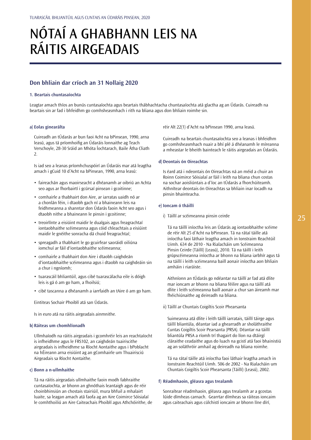## <span id="page-25-0"></span>NÓTAÍ A GHABHANN LEIS NA RÁITIS AIRGEADAIS

## **Don bhliain dar críoch an 31 Nollaig 2020**

### **1. Beartais chuntasaíochta**

Leagtar amach thíos an bunús cuntasaíochta agus beartais thábhachtacha chuntasaíochta atá glactha ag an Údarás. Cuireadh na beartais sin ar fad i bhfeidhm go comhsheasmhach i rith na bliana agus don bhliain roimhe sin.

#### **a) Eolas ginearálta**

Cuireadh an tÚdarás ar bun faoi Acht na bPinsean, 1990, arna leasú, agus tá príomhoifig an Údaráis lonnaithe ag Teach Verschoyle, 28-30 Sráid an Mhóta Íochtarach, Baile Átha Cliath  $\overline{2}$ 

Is iad seo a leanas príomhchuspóirí an Údaráis mar atá leagtha amach i gCuid 10 d'Acht na bPinsean, 1990, arna leasú:

- faireachán agus maoirseacht a dhéanamh ar oibriú an Achta seo agus ar fhorbairtí i gcúrsaí pinsean i gcoitinne;
- comhairle a thabhairt don Aire, ar iarratas uaidh nó ar a chonlán féin, i dtaobh gach ní a bhaineann leis na feidhmeanna a shanntar don Údarás faoin Acht seo agus i dtaobh nithe a bhaineann le pinsin i gcoitinne;
- treoirlínte a eisiúint maidir le dualgais agus freagrachtaí iontaobhaithe scéimeanna agus cóid chleachtais a eisiúint maidir le gnéithe sonracha dá chuid freagrachtaí;
- spreagadh a thabhairt le go gcuirfear saoráidí oiliúna iomchuí ar fáil d'iontaobhaithe scéimeanna;
- comhairle a thabhairt don Aire i dtaobh caighdeán d'iontaobhaithe scéimeanna agus i dtaobh na caighdeáin sin a chur i ngníomh;
- tuarascáil bhliantúil, agus cibé tuarascálacha eile is dóigh leis is gá ó am go ham, a fhoilsiú;
- cibé tascanna a dhéanamh a iarrfaidh an tAire ó am go ham.

Eintiteas Sochair Phoiblí atá san Údarás.

Is in euro atá na ráitis airgeadais ainmnithe.

## **b) Ráiteas um chomhlíonadh**

Ullmhaíodh na ráitis airgeadais i gcomhréir leis an reachtaíocht is infheidhme agus le FRS102, an caighdeán tuairiscithe airgeadais is infheidhme sa Ríocht Aontaithe agus i bPoblacht na hÉireann arna eisiúint ag an gComhairle um Thuairisciú Airgeadais sa Ríocht Aontaithe.

## **c) Bonn a n-ullmhaithe**

Tá na ráitis airgeadais ullmhaithe faoin modh fabhraithe cuntasaíochta, ar bhonn an ghnóthais leantaigh agus de réir choinbhinsiún an chostais stairiúil, mura bhfuil a mhalairt luaite, sa leagan amach atá faofa ag an Aire Coimirce Sóisialaí le comhthoiliú an Aire Caiteachais Phoiblí agus Athchóirithe, de réir Alt 22(1) d'Acht na bPinsean 1990, arna leasú.

Cuireadh na beartais chuntasaíochta seo a leanas i bhfeidhm go comhsheasmhach nuair a bhí plé á dhéanamh le míreanna a mheastar le bheith bainteach le ráitis airgeadais an Údaráis.

### **d) Deontais ón Oireachtas**

Is éard atá i ndeontais ón Oireachtas ná an méid a chuir an Roinn Coimirce Sóisialaí ar fáil i leith na bliana chun costas na sochar aoisliúntais a d'íoc an tÚdarás a fhorchúiteamh. Aithnítear deontais ón Oireachtas sa bhliain inar íocadh na pinsin bhainteacha.

## **e) Ioncam ó tháillí**

i) Táillí ar scéimeanna pinsin ceirde

Tá na táillí iníoctha leis an Údarás ag iontaobhaithe scéime de réir Alt 25 d'Acht na bPinsean. Tá na rátaí táille atá iníoctha faoi láthair leagtha amach in Ionstraim Reachtúil Uimh. 634 de 2010 - Na Rialacháin um Scéimeanna Pinsin Ceirde (Táillí) (Leasú), 2010. Tá na táillí i leith grúpscéimeanna iníoctha ar bhonn na bliana iarbhír agus tá na táillí i leith scéimeanna baill aonair iníoctha aon bhliain amháin i riaráiste.

Aithníonn an tÚdarás go ndéantar na táillí ar fad atá dlite mar ioncam ar bhonn na bliana féilire agus na táillí atá dlite i leith scéimeanna baill aonair a chur san áireamh mar fhéichiúnaithe ag deireadh na bliana.

ii) Táillí ar Chuntais Coigiltis Scoir Phearsanta

Suimeanna atá dlite i leith táillí iarratais, táillí táirge agus táillí bliantúla, déantar iad a ghearradh ar sholáthraithe Cuntas Coigiltis Scoir Pearsanta (PRSA). Déantar na táillí bliantúla PRSA a ríomh trí thagairt do líon na dtáirgí cláraithe ceadaithe agus do luach na gcistí atá faoi bhainistiú ag an soláthróir amhail ag deireadh na bliana roimhe.

Tá na rátaí táille atá iníoctha faoi láthair leagtha amach in Ionstraim Reachtúil Uimh. 506 de 2002 - Na Rialacháin um Chuntais Coigiltis Scoir Phearsanta (Táillí) (Leasú), 2002.

#### **f) Réadmhaoin, gléasra agus trealamh**

Sonraítear réadmhaoin, gléasra agus trealamh ar a gcostas lúide dímheas carnach. Gearrtar dímheas sa ráiteas ioncaim agus caiteachais agus cúlchistí ioncaim ar bhonn líne dírí,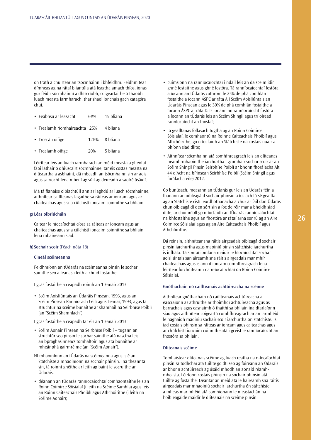ón tráth a chuirtear an tsócmhainn i bhfeidhm. Feidhmítear dímheas ag na rátaí bliantúla atá leagtha amach thíos, ionas gur féidir sócmhainní a dhíscríobh, coigeartaithe ó thaobh luach measta iarmharach, thar shaol ionchais gach catagóra chuí.

| • Feabhsú ar léasacht         | 633% | – 15 bliana   |
|-------------------------------|------|---------------|
| • Trealamh ríomhaireachta 25% |      | 4 bliana      |
| • Troscán oifige              |      | 12%% 8 bliana |
| • Trealamh oifige             | 20%  | 5 bliana      |

Léirítear leis an luach iarmharach an méid measta a gheofaí faoi láthair ó dhiúscairt sócmhainne, tar éis costas measta na diúscartha a asbhaint, dá mbeadh an tsócmhainn sin ar aois agus sa riocht lena mbeifí ag súil ag deireadh a saolré úsáidí.

Má tá fianaise oibiachtúil ann ar laghdú ar luach sócmhainne, aithnítear caillteanas lagaithe sa ráiteas ar ioncam agus ar chaiteachas agus sna cúlchistí ioncaim coinnithe sa bhliain.

## **g) Léas oibriúcháin**

Caitear le híocaíochtaí cíosa sa ráiteas ar ioncam agus ar chaiteachas agus sna cúlchistí ioncaim coinnithe sa bhliain lena mbaineann siad.

#### **h) Sochair scoir** (Féach nóta 18)

#### **Cineál scéimeanna**

Feidhmíonn an tÚdarás na scéimeanna pinsin le sochar sainithe seo a leanas i leith a chuid fostaithe:

I gcás fostaithe a ceapadh roimh an 1 Eanáir 2013:

• Scéim Aoisliúntais an Údaráis Pinsean, 1993, agus an Scéim Pinsean Ranníocach Céilí agus Leanaí, 1993, agus tá struchtúr na scéime bunaithe ar shamhail na Seirbhíse Poiblí (an "Scéim Shamhlach").

I gcás fostaithe a ceapadh tar éis an 1 Eanáir 2013:

- Scéim Aonair Pinsean na Seirbhíse Poiblí tugann an struchtúr seo pinsin le sochar sainithe atá nasctha leis an bpraghasinnéacs tomhaltóirí agus atá bunaithe ar mheánphá gairmréime (an "Scéim Aonair").
- Ní mhaoiníonn an tÚdarás na scéimeanna agus is é an Státchiste a mhaoiníonn na sochair phinsin. Ina theannta sin, tá roinnt gnéithe ar leith ag baint le socruithe an Údaráis:
- déanann an tÚdarás ranníocaíochtaí comhaontaithe leis an Roinn Coimirce Sóisialaí (i leith na Scéime Samhla) agus leis an Roinn Caiteachais Phoiblí agus Athchóirithe (i leith na Scéime Aonair);
- cuimsíonn na ranníocaíochtaí i ndáil leis an dá scéim idir ghné fostaithe agus ghné fostóra. Tá ranníocaíochtaí fostóra a íocann an tÚdarás cothrom le 25% de phá comhlán fostaithe a íocann ÁSPC ar ráta A i Scéim Aoisliúntais an Údaráis Pinsean agus le 30% de phá comhlán fostaithe a íocann ÁSPC ar ráta D. Is ionann an ranníocaíocht fostóra a íocann an tÚdarás leis an Scéim Shingil agus trí oiread ranníocaíocht an fhostaí;
- tá gealltanas follasach tugtha ag an Roinn Coimirce Sóisialaí, le comhaontú na Roinne Caiteachais Phoiblí agus Athchóirithe, go n-íocfaidh an Státchiste na costais nuair a bhíonn siad dlite;
- Aithnítear sócmhainn atá comhfhreagrach leis an dliteanas neamh-mhaoinithe iarchurtha i gcomhair sochar scoir ar an Scéim Shingil Pinsin Seirbhíse Poiblí ar bhonn fhorálacha Alt 44 d'Acht na bPinsean Seirbhíse Poiblí (Scéim Shingil agus forálacha eile) 2012.

Go bunúsach, measann an tÚdarás gur leis an Údarás féin a fhanann an oibleagáid sochair phinsin a íoc ach tá sé geallta ag an Státchiste cistí leordhóthanacha a chur ar fáil don Údarás chun oibleagáidí den sórt sin a íoc de réir mar a bheidh siad dlite, ar choinníoll go n-íocfaidh an tÚdarás ranníocaíochtaí na bhfostaithe agus an fhostóra ar rátaí arna sonrú ag an Aire Coimirce Sóisialaí agus ag an Aire Caiteachais Phoiblí agus Athchóirithe.

Dá réir sin, aithnítear sna ráitis airgeadais oibleagáid sochair pinsin iarchurtha agus maoiniú pinsin státchiste iarchurtha is infhála. Tá sonraí iomlána maidir le híocaíochtaí sochar aoisliúntais san áireamh sna ráitis airgeadais mar mhír chaiteachais agus is ann d'ioncam comhfhreagrach lena léirítear forchúiteamh na n-íocaíochtaí ón Roinn Coimirce Sóisialaí.

### **Gnóthachain nó caillteanais achtúireacha na scéime**

Aithnítear gnóthachain nó caillteanais achtúireacha a eascraíonn as athruithe ar thoimhdí achtúireacha agus as barrachais agus easnaimh ó thaithí sa bhliain ina dtarlaíonn siad agus aithnítear coigeartú comhfhreagrach ar an iarmhéid le haghaidh maoiniú sochair scoir iarchurtha ón státchiste. Is iad costais phinsin sa ráiteas ar ioncam agus caiteachas agus ar chúlchistí ioncaim coinnithe atá i gceist le ranníocaíocht an fhostóra sa bhliain.

## **Dliteanais scéime**

Tomhaistear dliteanais scéime ag luach reatha na n-íocaíochtaí pinsin sa todhchaí atá tuillte go dtí seo ag foireann an Údaráis ar bhonn achtúireach ag úsáid mhodh an aonaid réamhmheasta. Léiríonn costais phinsin na sochair phinsin atá tuillte ag fostaithe. Déantar an méid atá le háireamh sna ráitis airgeadais mar mhaoiniú sochair iarchurtha ón státchiste a mheas mar mhéid atá comhionann le meastachán na hoibleagáide maidir le dliteanais na scéime pinsin.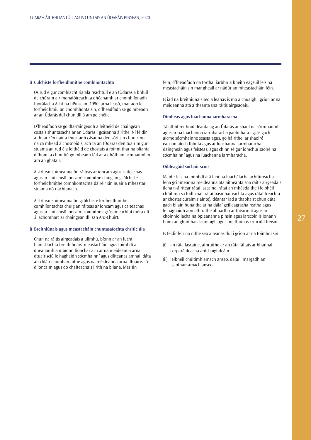### **i) Cúlchiste forfheidhmithe comhlíontachta**

Ós rud é gur comhlacht rialála reachtúil é an tÚdarás a bhfuil de chúram air monatóireacht a dhéanamh ar chomhlíonadh fhorálacha Acht na bPinsean, 1990, arna leasú, mar aon le forfheidhmiú an chomhlíonta sin, d'fhéadfadh sé go mbeadh ar an Údarás dul chun dlí ó am go chéile.

D'fhéadfadh sé go dtarraingeodh a leithéid de chaingean costais shuntasacha ar an Údarás i gcásanna áirithe. Ní féidir a thuar cén uair a thiocfadh cásanna den sórt sin chun cinn ná cá mhéad a chosnóidís, ach tá an tÚdarás den tuairim gur stuama an rud é a leithéid de chostais a roinnt thar na blianta d'fhonn a chinntiú go mbeadh fáil ar a dhóthain acmhainní in am an ghátair.

Aistrítear suimeanna ón ráiteas ar ioncam agus caiteachas agus ar chúlchistí ioncaim coinnithe chuig an gcúlchiste forfheidhmithe comhlíontachta dá réir sin nuair a mheastar stuama nó riachtanach.

Aistrítear suimeanna ón gcúlchiste forfheidhmithe comhlíontachta chuig an ráiteas ar ioncam agus caiteachas agus ar chúlchistí ioncaim coinnithe i gcás imeachtaí móra dlí .i. achomharc ar chaingean dlí san Ard-Chúirt.

## **j) Breithiúnais agus meastacháin chuntasaíochta chriticiúla**

Chun na ráitis airgeadais a ullmhú, bíonn ar an lucht bainistíochta breithiúnais, meastacháin agus toimhdí a dhéanamh a mbíonn tionchar acu ar na méideanna arna dtuairisciú le haghaidh sócmhainní agus dliteanas amhail dáta an chláir chomhardaithe agus na méideanna arna dtuairisciú d'ioncaim agus do chaiteachais i rith na bliana. Mar sin

féin, d'fhéadfadh na torthaí iarbhír a bheith éagsúil leis na meastacháin sin mar gheall ar nádúr an mheastacháin féin.

Is iad na breithiúnais seo a leanas is mó a chuaigh i gcion ar na méideanna atá aitheanta sna ráitis airgeadais.

### **Dímheas agus luachanna iarmharacha**

Tá athbhreithniú déanta ag an Údarás ar shaol na sócmhainní agus ar na luachanna iarmharacha gaolmhara i gcás gach aicme sócmhainne seasta agus, go háirithe, ar shaolré eacnamaíoch fhónta agus ar luachanna iarmharacha daingneán agus feisteas, agus chinn sé gur iomchuí saolré na sócmhainní agus na luachanna iarmharacha.

#### **Oibleagáid sochair scoir**

Maidir leis na toimhdí atá faoi na luachálacha achtúireacha lena gcinntear na méideanna atá aitheanta sna ráitis airgeadais (lena n-áirítear rátaí lascaine, rátaí an mhéadaithe i leibhéil chúitimh sa todhchaí, rátaí básmhaireachta agus rátaí treochta ar chostas cúraim sláinte), déantar iad a thabhairt chun dáta gach bliain bunaithe ar na dálaí geilleagracha reatha agus le haghaidh aon athruithe ábhartha ar théarmaí agus ar choinníollacha na bpleananna pinsin agus iarscoir. Is ionann bonn an ghnóthais leantaigh agus breithiúnas criticiúil freisin.

Is féidir leis na nithe seo a leanas dul i gcion ar na toimhdí sin:

- (i) an ráta lascaine, athruithe ar an ráta fáltais ar bhannaí corparáideacha ardchaighdeáin
- (ii) leibhéil chúitimh amach anseo, dálaí i margadh an tsaothair amach anseo.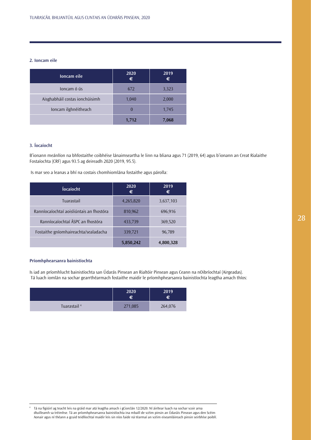## **2. Ioncam eile**

| Ioncam eile                    | 2020<br>€ | 2019<br>€ |
|--------------------------------|-----------|-----------|
| loncam ó ús                    | 672       | 3,323     |
| Aisghabháil costas ionchúisimh | 1,040     | 2,000     |
| Ioncam ilghnéitheach           |           | 1,745     |
|                                | 1,712     | 7,068     |

## **3. Íocaíocht**

B'ionann meánlíon na bhfostaithe coibhéise lánaimseartha le linn na bliana agus 71 (2019, 64) agus b'ionann an Creat Rialaithe Fostaíochta (CRF) agus 93.5 ag deireadh 2020 (2019, 95.5).

Is mar seo a leanas a bhí na costais chomhiomlána fostaithe agus párolla:

| <b>Íocaíocht</b>                         | 2020<br>€ | 2019<br>€ |
|------------------------------------------|-----------|-----------|
| Tuarastail                               | 4,265,820 | 3,637,103 |
| Ranníocaíochtaí aoisliúntais an fhostóra | 810,962   | 696,916   |
| Ranníocaíochtaí ÁSPC an fhostóra         | 433,739   | 369,520   |
| Fostaithe gníomhaireachta/sealadacha     | 339,721   | 96,789    |
|                                          | 5,850,242 | 4,800,328 |

## **Príomhphearsanra bainistíochta**

Is iad an príomhlucht bainistíochta san Údarás Pinsean an Rialtóir Pinsean agus Ceann na nOibríochtaí (Airgeadas). Tá luach iomlán na sochar gearrthéarmach fostaithe maidir le príomhphearsanra bainistíochta leagtha amach thíos:

|                         | 2020<br>€ | 2019<br>€ |
|-------------------------|-----------|-----------|
| Tuarastail <sup>4</sup> | 271,085   | 264,076   |

<sup>4</sup> Tá na figiúirí ag teacht leis na gráid mar atá leagtha amach i gCiorclán 12/2020. Ní áirítear luach na sochar scoir arna dtuilleamh sa tréimhse. Tá an príomhphearsanra bainistíochta ina mbaill de scéim pinsin an Údaráis Pinsean agus den Scéim Aonair agus ní théann a gcuid teidlíochtaí maidir leis sin níos faide ná téarmaí an scéim eiseamláireach pinsin seirbhíse poiblí.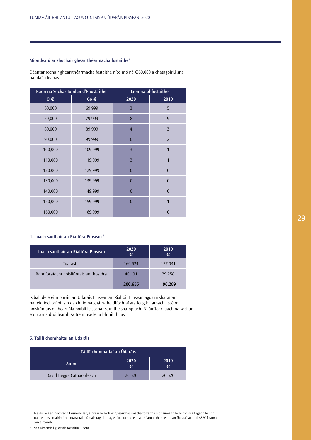## **Miondealú ar shochair ghearrthéarmacha fostaithe5**

Déantar sochair ghearrthéarmacha fostaithe níos mó ná €60,000 a chatagóiriú sna bandaí a leanas:

| Raon na Sochar Iomlán d'Fhostaithe |          |                | Líon na bhfostaithe |
|------------------------------------|----------|----------------|---------------------|
| $6 \in$                            | $60 \in$ | 2020           | 2019                |
| 60,000                             | 69,999   | $\overline{3}$ | 5                   |
| 70,000                             | 79,999   | 8              | 9                   |
| 80,000                             | 89,999   | $\overline{4}$ | $\overline{3}$      |
| 90,000                             | 99,999   | $\bf{0}$       | $\overline{2}$      |
| 100,000                            | 109,999  | $\overline{3}$ | 1                   |
| 110,000                            | 119,999  | $\overline{3}$ | 1                   |
| 120,000                            | 129,999  | $\overline{0}$ | $\theta$            |
| 130,000                            | 139,999  | $\overline{0}$ | $\theta$            |
| 140,000                            | 149,999  | $\overline{0}$ | $\theta$            |
| 150,000                            | 159,999  | $\overline{0}$ | $\mathbf 1$         |
| 160,000                            | 169,999  |                | $\Omega$            |

## **4. Luach saothair an Rialtóra Pinsean 6**

| Luach saothair an Rialtóra Pinsean     | 2020<br>€ | 2019<br>€ |
|----------------------------------------|-----------|-----------|
| Tuarastal                              | 160,524   | 157,031   |
| Ranníocaíocht aoisliúntais an fhostóra | 40,131    | 39,258    |
|                                        | 200,655   | 196,289   |

Is ball de scéim pinsin an Údaráis Pinsean an Rialtóir Pinsean agus ní sháraíonn na teidlíochtaí pinsin dá chuid na gnáth-theidlíochtaí atá leagtha amach i scéim aoisliúntais na hearnála poiblí le sochar sainithe shamplach. Ní áirítear luach na sochar scoir arna dtuilleamh sa tréimhse lena bhfuil thuas.

## **5. Táillí chomhaltaí an Údaráis**

| Táillí chomhaltaí an Údaráis |           |           |
|------------------------------|-----------|-----------|
| Ainm                         | 2020<br>€ | 2019<br>€ |
| David Begg - Cathaoirleach   | 20,520    | 20,520    |

<sup>5</sup> Maidir leis an nochtadh faisnéise seo, áirítear le sochair ghearrthéarmacha fostaithe a bhaineann le seirbhísí a tugadh le linn na tréimhse tuairiscithe, tuarastal, liúntais ragoibre agus íocaíochtaí eile a dhéantar thar ceann an fhostaí, ach níl ÁSPC fostóra san áireamh.

<sup>6</sup> San áireamh i gCostais fostaithe i nóta 3.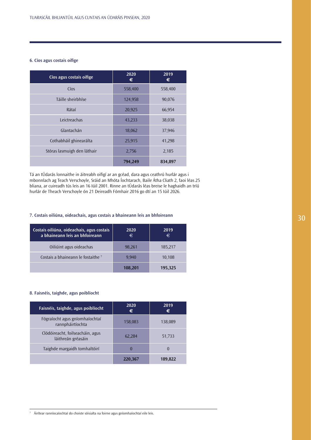## **6. Cíos agus costais oifige**

| Cíos agus costais oifige    | 2020<br>€ | 2019<br>€ |
|-----------------------------|-----------|-----------|
| Cíos                        | 558,400   | 558,400   |
| Táille sheirbhíse           | 124,958   | 90,076    |
| Rátaí                       | 20,925    | 66,954    |
| Leictreachas                | 43,233    | 38,038    |
| Glantachán                  | 18,062    | 37,946    |
| Cothabháil ghinearálta      | 25,915    | 41,298    |
| Stóras lasmuigh den láthair | 2,756     | 2,185     |
|                             | 794,249   | 834,897   |

Tá an tÚdarás lonnaithe in áitreabh oifigí ar an gcéad, dara agus ceathrú hurlár agus i mbonnlach ag Teach Verschoyle, Sráid an Mhóta Íochtarach, Baile Átha Cliath 2, faoi léas 25 bliana, ar cuireadh tús leis an 16 Iúil 2001. Rinne an tÚdarás léas breise le haghaidh an tríú hurlár de Theach Verschoyle ón 21 Deireadh Fómhair 2016 go dtí an 15 Iúil 2026.

## **7. Costais oiliúna, oideachais, agus costais a bhaineann leis an bhfoireann**

| Costais oiliúna, oideachais, agus costais<br>a bhaineann leis an bhfoireann | 2020<br>€ | 2019<br>€ |
|-----------------------------------------------------------------------------|-----------|-----------|
| Oiliúint agus oideachas                                                     | 98,261    | 185,217   |
| Costais a bhaineann le fostaithe <sup>7</sup>                               | 9.940     | 10,108    |
|                                                                             | 108.201   | 195.325   |

## **8. Faisnéis, taighde, agus poiblíocht**

| Faisnéis, taighde, agus poiblíocht                     | 2020<br>€ | 2019<br>€    |
|--------------------------------------------------------|-----------|--------------|
| Fógraíocht agus gníomhaíochtaí<br>rannpháirtíochta     | 158,083   | 138,089      |
| Clódóireacht, foilseacháin, agus<br>láithreán gréasáin | 62,284    | 51,733       |
| Taighde margaidh tomhaltóirí                           | 0         | $\mathbf{0}$ |
|                                                        | 220,367   | 189.822      |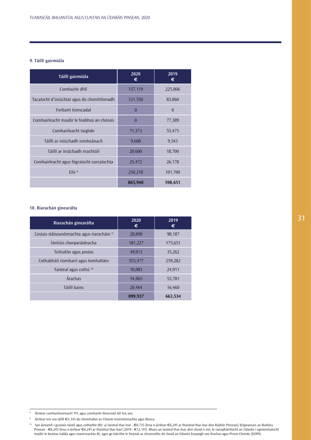## **9. Táillí gairmiúla**

| Táillí gairmiúla                           | 2020<br>€ | 2019<br>€ |
|--------------------------------------------|-----------|-----------|
| Comhairle dhlí                             | 157,119   | 225,806   |
| Tacaíocht d'iniúchtaí agus do chomhlíonadh | 331,550   | 83,860    |
| <b>Forbairt tionscadal</b>                 | $\theta$  | $\theta$  |
| Comhairleacht maidir le feabhsú an chórais | $\theta$  | 77,389    |
| Comhairleacht taighde                      | 71,373    | 55,475    |
| Táillí ar iniúchadh inmheánach             | 9,608     | 9,543     |
| Táillí ar iniúchadh reachtúil              | 20,600    | 18,700    |
| Comhairleacht agus fógraíocht earcaíochta  | 25,472    | 26,178    |
| Eile <sup>8</sup>                          | 250,218   | 101,700   |
|                                            | 865,940   | 598,651   |

## **10. Riarachán ginearálta**

| Riarachán ginearálta                                   | 2020<br>€ | 2019<br>€ |
|--------------------------------------------------------|-----------|-----------|
| Costais stáiseanóireachta agus riaracháin <sup>9</sup> | 28,808    | 98,187    |
| Síntiúis chorparáideacha                               | 181,227   | 175,651   |
| Teileafón agus postas                                  | 49,013    | 35,262    |
| Cothabháil ríomhairí agus tomhaltáin                   | 555,477   | 259,282   |
| Taisteal agus cothú <sup>10</sup>                      | 10,083    | 24,911    |
| Árachas                                                | 54,865    | 53,781    |
| Táillí bainc                                           | 20,464    | 16,460    |
|                                                        | 899,937   | 663,534   |

8 Áirítear comhairleoireacht TFC agus comhairle theicniúil AD leis seo.

9 Áirítear leis seo táillí €3,143 do chomhaltaí an Choiste Iniúchóireachta agus Riosca.

10 San áireamh i gcostais taistil agus cothaithe bhí: a) taisteal thar lear - €6,735 (lena n-áirítear €6,245 ar thaisteal thar lear don Rialtóir Pinsean)) b)Speansais an Rialtóra Pinsean - €6,245 (lena n-áirítear €6,245 ar thaisteal thar lear) (2019 - €12,145). Bhain an taisteal thar lear, den chuid is mó, le rannpháirtíocht an Údaráis i ngníomhaíocht maidir le beartas rialála agus maoirseachta AE, agus go háirithe le freastal ar chruinnithe de chuid an Údaráis Eorpaigh um Árachas agus Pinsin Cheirde (EIOPA).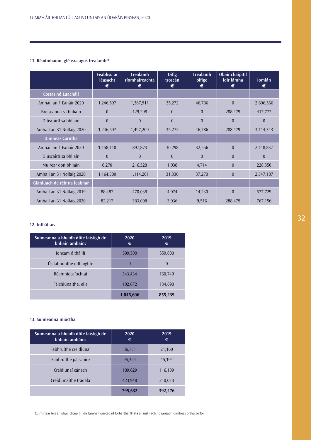## **11. Réadmhaoin, gléasra agus trealamh11**

|                              | Feabhsú ar<br>léasacht<br>€ | <b>Trealamh</b><br>ríomhaireachta<br>€ | <b>Oifig</b><br>troscán<br>€ | <b>Trealamh</b><br>oifige<br>€ | <b>Obair chaipitil</b><br>idir lámha<br>€ | <b>lomlán</b><br>€ |
|------------------------------|-----------------------------|----------------------------------------|------------------------------|--------------------------------|-------------------------------------------|--------------------|
| Costas nó Luacháil           |                             |                                        |                              |                                |                                           |                    |
| Amhail an 1 Eanáir 2020      | 1,246,597                   | 1,367,911                              | 35,272                       | 46,786                         | $\theta$                                  | 2,696,566          |
| Breiseanna sa bhliain        | $\theta$                    | 129,298                                | $\overline{0}$               | $\Omega$                       | 288,479                                   | 417,777            |
| Diúscairtí sa bhliain        | $\theta$                    | $\theta$                               | $\theta$                     | $\theta$                       | $\theta$                                  | $\theta$           |
| Amhail an 31 Nollaig 2020    | 1,246,597                   | 1,497,209                              | 35,272                       | 46,786                         | 288,479                                   | 3,114,343          |
| Dímheas Carntha              |                             |                                        |                              |                                |                                           |                    |
| Amhail an 1 Eanáir 2020      | 1,158,110                   | 897,873                                | 30,298                       | 32,556                         | $\theta$                                  | 2,118,837          |
| Diúscairtí sa bhliain        | $\theta$                    | $\Omega$                               | $\overline{0}$               | $\theta$                       | $\theta$                                  | $\Omega$           |
| Muirear don bhliain          | 6,270                       | 216,328                                | 1,038                        | 4,714                          | $\theta$                                  | 228,350            |
| Amhail an 31 Nollaig 2020    | 1,164,380                   | 1,114,201                              | 31,336                       | 37,270                         | $\Omega$                                  | 2,347,187          |
| Glanluach de réir na leabhar |                             |                                        |                              |                                |                                           |                    |
| Amhail an 31 Nollaig 2019    | 88,487                      | 470,038                                | 4,974                        | 14,230                         | $\theta$                                  | 577,729            |
| Amhail an 31 Nollaig 2020    | 82,217                      | 383,008                                | 3,936                        | 9,516                          | 288,479                                   | 767,156            |

## **12. Infháltais**

| Suimeanna a bheidh dlite laistigh de<br>bhliain amháin: | 2020<br>€ | 2019<br>€ |
|---------------------------------------------------------|-----------|-----------|
| Joncam ó tháillí                                        | 599,500   | 559,800   |
| Ús fabhraithe infhaighte                                | $\theta$  | $\theta$  |
| Réamhíocaíochtaí                                        | 343,434   | 160,749   |
| Féichiúnaithe, eile                                     | 102,672   | 134,690   |
|                                                         | 1,045,606 | 855,239   |

## **13. Suimeanna iníoctha**

| Suimeanna a bheidh dlite laistigh de<br>bhliain amháin: | 2020<br>€ | 2019<br>€ |
|---------------------------------------------------------|-----------|-----------|
| Fabhruithe creidiúnaí                                   | 86,731    | 21,160    |
| Fabhruithe pá saoire                                    | 95,324    | 45,194    |
| Creidiúnaí cánach                                       | 189,629   | 116,109   |
| Creidiúnaithe trádála                                   | 423,948   | 210,013   |
|                                                         | 795,632   | 392,476   |

11 Cuimsítear leis an obair chaipitil idir lámha tionscadail forbartha TF atá ar siúl nach ndearnadh dímheas orthu go fóill.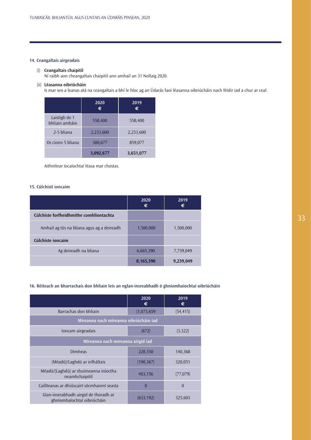## **14. Ceangaltais airgeadais**

## (i) **Ceangaltais chaipitil**

Ní raibh aon cheangaltais chaipitil ann amhail an 31 Nollaig 2020.

## (ii) **Léasanna oibriúcháin**

Is mar seo a leanas atá na ceangaltais a bhí le híoc ag an Údarás faoi léasanna oibriúcháin nach féidir iad a chur ar ceal:

|                                 | 2020<br>€ | 2019<br>€ |
|---------------------------------|-----------|-----------|
| Laistigh de 1<br>bhliain amháin | 558,400   | 558,400   |
| 2-5 bliana                      | 2,233,600 | 2,233,600 |
| Os cionn 5 bliana               | 300,677   | 859,077   |
|                                 | 3,092,677 | 3,651,077 |

Aithnítear íocaíochtaí léasa mar chostas.

## **15. Cúlchistí ioncaim**

|                                            | 2020<br>€ | 2019<br>€ |
|--------------------------------------------|-----------|-----------|
| Cúlchiste forfheidhmithe comhlíontachta    |           |           |
| Amhail ag tús na bliana agus ag a deireadh | 1,500,000 | 1,500,000 |
| Cúlchiste ioncaim                          |           |           |
| Ag deireadh na bliana                      | 6,665,390 | 7,739,049 |
|                                            | 8,165,390 | 9,239,049 |

## **16. Réiteach an bharrachais don bhliain leis an nglan-insreabhadh ó ghníomhaíochtaí oibriúcháin**

|                                                                      | 2020<br>€   | 2019<br>€ |
|----------------------------------------------------------------------|-------------|-----------|
| Barrachas don bhliain                                                | (1,073,659) | (54, 415) |
| Míreanna nach míreanna oibriúcháin iad                               |             |           |
| Ioncam airgeadais                                                    | (672)       | (3,322)   |
| Míreanna nach míreanna airgid iad                                    |             |           |
| Dímheas                                                              | 228,350     | 140,368   |
| (Méadú)/Laghdú ar infháltais                                         | (190, 367)  | 320,051   |
| Méadú/(Laghdú) ar shuimeanna iníoctha<br>neamhchaipitil              | 403,156     | (77, 079) |
| Caillteanas ar dhiúscairt sócmhainní seasta                          | $\theta$    | $\theta$  |
| Glan-insreabhadh airgid de thoradh ar<br>ghníomhaíochtaí oibriúcháin | (633, 192)  | 325,603   |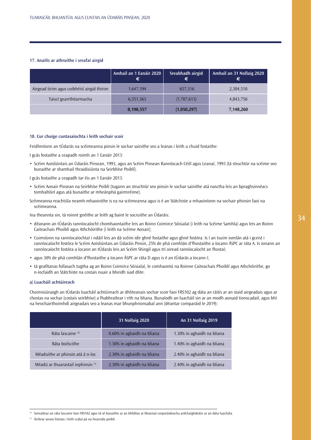## **17. Anailís ar athruithe i sreafaí airgid**

|                                            | Amhail an 1 Eanáir 2020<br>€ | Sreabhadh airgid<br>€ | Amhail an 31 Nollaig 2020<br>€ |
|--------------------------------------------|------------------------------|-----------------------|--------------------------------|
| Airgead tirim agus coibhéisí airgid thirim | 1,647,194                    | 657,316               | 2,304,510                      |
| Taiscí gearrthéarmacha                     | 6,551,363                    | (1,707,613)           | 4,843,750                      |
|                                            | 8,198,557                    | (1,050,297)           | 7,148,260                      |

## **18. Cur chuige cuntasaíochta i leith sochair scoir**

Feidhmíonn an tÚdarás na scéimeanna pinsin le sochar sainithe seo a leanas i leith a chuid fostaithe:

- I gcás fostaithe a ceapadh roimh an 1 Eanáir 2013:
- Scéim Aoisliúntais an Údaráis Pinsean, 1993, agus an Scéim Pinsean Ranníocach Céilí agus Leanaí, 1993 (tá struchtúr na scéime seo bunaithe ar shamhail thraidisiúnta na Seirbhíse Poiblí).
- I gcás fostaithe a ceapadh tar éis an 1 Eanáir 2013:
- Scéim Aonair Pinsean na Seirbhíse Poiblí (tugann an struchtúr seo pinsin le sochar sainithe atá nasctha leis an bpraghsinnéacs tomhaltóirí agus atá bunaithe ar mheánphá gairmréime).
- Scéimeanna reachtúla neamh-mhaoinithe is ea na scéimeanna agus is é an Státchiste a mhaoiníonn na sochair phinsin faoi na scéimeanna.

Ina theannta sin, tá roinnt gnéithe ar leith ag baint le socruithe an Údaráis:

- déanann an tÚdarás ranníocaíocht chomhaontaithe leis an Roinn Coimirce Sóisialaí (i leith na Scéime Samhla) agus leis an Roinn Caiteachais Phoiblí agus Athchóirithe (i leith na Scéime Aonair);
- Cuimsíonn na ranníocaíochtaí i ndáil leis an dá scéim idir ghné fostaithe agus ghné fostóra. Is í an tsuim iomlán atá i gceist i ranníocaíocht fostóra le Scéim Aoisliúntais an Údaráis Pinsin, 25% de phá comhlán d'fhostaithe a íocann ÁSPC ar ráta A. Is ionann an ranníocaíocht fostóra a íocann an tÚdarás leis an Scéim Shingil agus trí oiread ranníocaíocht an fhostaí;
- agus 30% de phá comhlán d'fhostaithe a íocann ÁSPC ar ráta D agus is é an tÚdarás a íocann í;
- tá gealltanas follasach tugtha ag an Roinn Coimirce Sóisialaí, le comhaontú na Roinne Caiteachais Phoiblí agus Athchóirithe, go n-íocfaidh an Státchiste na costais nuair a bheidh siad dlite.

### **a) Luacháil achtúireach**

Choimisiúnaigh an tÚdarás luacháil achtúireach ar dhliteanais sochar scoir faoi FRS102 ag dáta an ráitis ar an staid airgeadais agus ar chostas na sochar (costais seirbhíse) a fhabhraítear i rith na bliana. Bunaíodh an luacháil sin ar an modh aonaid tionscadail, agus bhí na heochairthoimhdí airgeadais seo a leanas mar bhunphrionsabal ann (déantar comparáid le 2019):

|                                              | <b>31 Nollaig 2020</b>     | An 31 Nollaig 2019         |
|----------------------------------------------|----------------------------|----------------------------|
| Ráta lascaine <sup>12</sup>                  | 0.60% in aghaidh na bliana | 1.30% in aghaidh na bliana |
| Ráta boilscithe                              | 1.30% in aghaidh na bliana | 1.40% in aghaidh na bliana |
| Méaduithe ar phinsin atá á n-íoc             | 2.30% in aghaidh na bliana | 2.40% in aghaidh na bliana |
| Méadú ar thuarastail inphinsin <sup>13</sup> | 2.30% in aghaidh na bliana | 2.40% in aghaidh na bliana |

<sup>&</sup>lt;sup>12</sup> Sonraítear an ráta lascaine faoi FRS102 agus tá sé bunaithe ar an bhfáltas ar bhannaí corparáideacha ardchaighdeáin ar an dáta luachála.

<sup>13</sup> Áirítear anseo liúntas i leith scálaí pá na hearnála poiblí.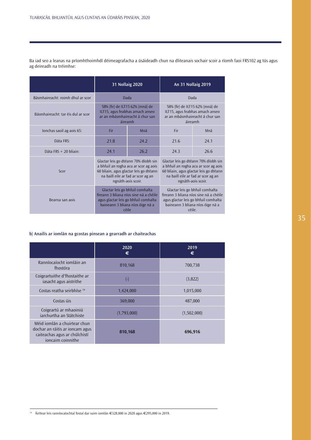|                                    | <b>31 Nollaig 2020</b>                                                                                                                                                              |      |      | <b>An 31 Nollaig 2019</b>                                                                                                                                                           |
|------------------------------------|-------------------------------------------------------------------------------------------------------------------------------------------------------------------------------------|------|------|-------------------------------------------------------------------------------------------------------------------------------------------------------------------------------------|
| Básmhaireacht: roimh dhul ar scor  | Dada                                                                                                                                                                                |      |      | Dada                                                                                                                                                                                |
| Básmhaireacht: tar éis dul ar scor | 58% (fir) de ILT15 62% (mná) de<br>ILT15, agus feabhas amach anseo<br>ar an mbásmhaireacht á chur san<br><i>áireamh</i>                                                             |      |      | 58% (fir) de ILT15 62% (mná) de<br>ILT15, agus feabhas amach anseo<br>ar an mbásmhaireacht á chur san<br>áireamh                                                                    |
| Ionchas saoil ag aois 65:          | Fir                                                                                                                                                                                 | Mná  | Fir  | Mná                                                                                                                                                                                 |
| Dáta FRS:                          | 21.8                                                                                                                                                                                | 24.2 | 21.6 | 24.1                                                                                                                                                                                |
| Dáta FRS $+$ 20 bliain:            | 24.1                                                                                                                                                                                | 26.2 | 24.3 | 26.6                                                                                                                                                                                |
| Scor                               | Glactar leis go dtéann 70% díobh sin<br>a bhfuil an rogha acu ar scor ag aois<br>60 bliain, agus glactar leis go dtéann<br>na baill eile ar fad ar scor ag an<br>ngnáth-aois scoir. |      |      | Glactar leis go dtéann 70% díobh sin<br>a bhfuil an rogha acu ar scor ag aois<br>60 bliain, agus glactar leis go dtéann<br>na baill eile ar fad ar scor ag an<br>ngnáth-aois scoir. |
| Bearna san aois                    | Glactar leis go bhfuil comhalta<br>fireann 3 bliana níos sine ná a chéile<br>agus glactar leis go bhfuil comhalta<br>baineann 3 bliana níos óige ná a<br>céile                      |      |      | Glactar leis go bhfuil comhalta<br>fireann 3 bliana níos sine ná a chéile<br>agus glactar leis go bhfuil comhalta<br>baineann 3 bliana níos óige ná a<br>céile.                     |

Ba iad seo a leanas na príomhthoimhdí déimeagrafacha a úsáideadh chun na dliteanais sochair scoir a ríomh faoi FRS102 ag tús agus ag deireadh na tréimhse:

## **b) Anailís ar iomlán na gcostas pinsean a gearradh ar chaiteachas**

|                                                                                                                       | 2020<br>€     | 2019<br>€   |
|-----------------------------------------------------------------------------------------------------------------------|---------------|-------------|
| Ranníocaíocht iomláin an<br>fhostóra                                                                                  | 810,168       | 700,738     |
| Coigeartuithe d'fhostaithe ar<br>iasacht agus aistrithe                                                               | $(\hbox{--})$ | (3,822)     |
| Costas reatha seirbhíse 14                                                                                            | 1,424,000     | 1,015,000   |
| Costas úis                                                                                                            | 369,000       | 487,000     |
| Coigeartú ar mhaoiniú<br>jarchurtha an Státchiste                                                                     | (1,793,000)   | (1,502,000) |
| Méid iomlán a chuirtear chun<br>dochar an ráitis ar ioncam agus<br>caiteachas agus ar chúlchistí<br>ioncaim coinnithe | 810,168       | 696,916     |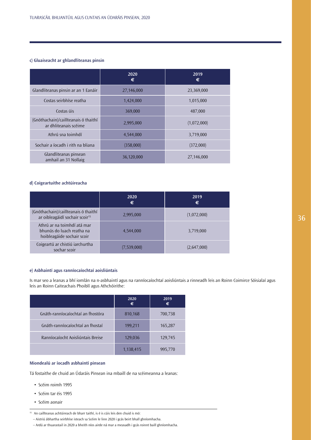## **c) Gluaiseacht ar ghlandliteanas pinsin**

|                                                               | 2020<br>€  | 2019<br>€   |
|---------------------------------------------------------------|------------|-------------|
| Glandliteanas pinsin ar an 1 Eanáir                           | 27,146,000 | 23,369,000  |
| Costas seirbhíse reatha                                       | 1,424,000  | 1,015,000   |
| Costas úis                                                    | 369,000    | 487,000     |
| (Gnóthachain)/caillteanais ó thaithí<br>ar dhliteanais scéime | 2,995,000  | (1,072,000) |
| Athrú sna toimhdí                                             | 4,544,000  | 3,719,000   |
| Sochair a íocadh i rith na bliana                             | (358,000)  | (372,000)   |
| Glandliteanas pinsean<br>amhail an 31 Nollaig                 | 36,120,000 | 27,146,000  |

## **d) Coigeartuithe achtúireacha**

|                                                                                        | 2020<br>€   | 2019<br>€   |
|----------------------------------------------------------------------------------------|-------------|-------------|
| (Gnóthachain)/caillteanais ó thaithí<br>ar oibleagáidí sochair scoir <sup>15</sup>     | 2,995,000   | (1,072,000) |
| Athrú ar na toimhdí atá mar<br>bhunús do luach reatha na<br>hoibleagáide sochair scoir | 4,544,000   | 3,719,000   |
| Coigeartú ar chistiú iarchurtha<br>sochar scoir                                        | (7,539,000) | (2,647,000) |

## **e) Asbhaintí agus ranníocaíochtaí aoisliúntais**

Is mar seo a leanas a bhí iomlán na n-asbhaintí agus na ranníocaíochtaí aoisliúntais a rinneadh leis an Roinn Coimirce Sóisialaí agus leis an Roinn Caiteachais Phoiblí agus Athchóirithe:

|                                   | 2020<br>€ | 2019<br>€ |
|-----------------------------------|-----------|-----------|
| Gnáth-ranníocaíochtaí an fhostóra | 810,168   | 700,738   |
| Gnáth-ranníocaíochtaí an fhostaí  | 199,211   | 165,287   |
| Ranníocaíocht Aoisliúntais Breise | 129,036   | 129,745   |
|                                   | 1,138,415 | 995,770   |

## **Miondealú ar íocadh asbhaintí pinsean**

Tá fostaithe de chuid an Údaráis Pinsean ina mbaill de na scéimeanna a leanas:

- Scéim roimh 1995
- Scéim tar éis 1995
- Scéim aonair

<sup>15</sup> An caillteanas achtúireach de bharr taithí, is é is cúis leis den chuid is mó:

 <sup>–</sup> Aistriú ábhartha seirbhíse isteach sa Scéim le linn 2020 i gcás beirt bhall ghníomhacha.

 <sup>–</sup> Ardú ar thuarastail in 2020 a bheith níos airde ná mar a measadh i gcás roinnt baill ghníomhacha.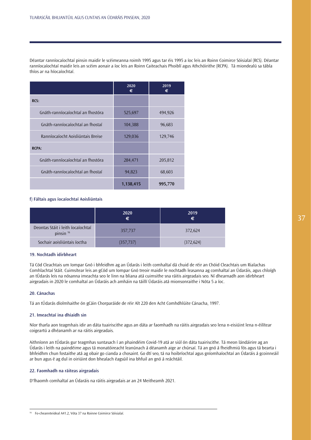Déantar ranníocaíochtaí pinsin maidir le scéimeanna roimh 1995 agus tar éis 1995 a íoc leis an Roinn Coimirce Sóisialaí (RCS). Déantar ranníocaíochtaí maidir leis an scéim aonair a íoc leis an Roinn Caiteachais Phoiblí agus Athchóirithe (RCPA). Tá miondealú sa tábla thíos ar na híocaíochtaí.

|                                   | 2020<br>€ | 2019<br>€ |
|-----------------------------------|-----------|-----------|
| RCS:                              |           |           |
| Gnáth-ranníocaíochtaí an fhostóra | 525,697   | 494,926   |
| Gnáth-ranníocaíochtaí an fhostaí  | 104,388   | 96,683    |
| Ranníocaíocht Aoisliúntais Breise | 129,036   | 129,746   |
| <b>RCPA:</b>                      |           |           |
| Gnáth-ranníocaíochtaí an fhostóra | 284,471   | 205,812   |
| Gnáth-ranníocaíochtaí an fhostaí  | 94,823    | 68,603    |
|                                   | 1,138,415 | 995,770   |

## **f) Fáltais agus íocaíochtaí Aoisliúntais**

|                                                  | 2020<br>€  | 2019<br>$\epsilon$ |
|--------------------------------------------------|------------|--------------------|
| Deontas Stáit i leith íocaíochtaí<br>pinsin $16$ | 357,737    | 372,624            |
| Sochair aoisliúntais íoctha                      | (357, 737) | (372, 624)         |

## **19. Nochtadh idirbheart**

Tá Cód Cleachtais um Iompar Gnó i bhfeidhm ag an Údarás i leith comhaltaí dá chuid de réir an Chóid Cleachtais um Rialachas Comhlachtaí Stáit. Cuimsítear leis an gCód um Iompar Gnó treoir maidir le nochtadh leasanna ag comhaltaí an Údaráis, agus chloígh an tÚdarás leis na nósanna imeachta seo le linn na bliana atá cuimsithe sna ráitis airgeadais seo. Ní dhearnadh aon idirbheart airgeadais in 2020 le comhaltaí an Údaráis ach amháin na táillí Údaráis atá mionsonraithe i Nóta 5 a íoc.

## **20. Cánachas**

Tá an tÚdarás díolmhaithe ón gCáin Chorparáide de réir Alt 220 den Acht Comhdhlúite Cánacha, 1997.

### **21. Imeachtaí ina dhiaidh sin**

Níor tharla aon teagmhais idir an dáta tuairiscithe agus an dáta ar faomhadh na ráitis airgeadais seo lena n-eisiúint lena n-éilítear coigeartú a dhéanamh ar na ráitis airgeadais.

Aithníonn an tÚdarás gur teagmhas suntasach í an phaindéim Covid-19 atá ar siúl ón dáta tuairiscithe. Tá meon lándáirire ag an Údarás i leith na paindéime agus tá monatóireacht leanúnach á déanamh aige ar chúrsaí. Tá an gnó á fheidhmiú fós agus tá bearta i bhfeidhm chun fostaithe atá ag obair go cianda a chosaint. Go dtí seo, tá na hoibríochtaí agus gníomhaíochtaí an Údaráis á gcoinneáil ar bun agus é ag dul in oiriúint don bhealach éagsúil ina bhfuil an gnó á reáchtáil.

## **22. Faomhadh na ráiteas airgeadais**

D'fhaomh comhaltaí an Údaráis na ráitis airgeadais ar an 24 Meitheamh 2021.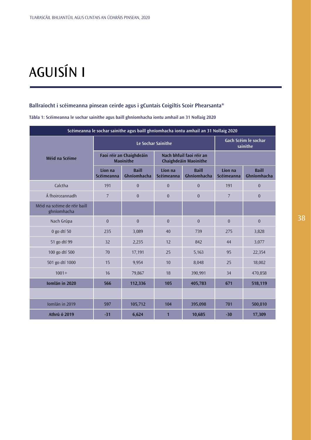# AGUISÍN I

## **Ballraíocht i scéimeanna pinsean ceirde agus i gCuntais Coigiltis Scoir Phearsanta\***

| Scéimeanna le sochar sainithe agus baill ghníomhacha iontu amhail an 31 Nollaig 2020 |                                              |                             |                                                   |                                  |                       |                             |
|--------------------------------------------------------------------------------------|----------------------------------------------|-----------------------------|---------------------------------------------------|----------------------------------|-----------------------|-----------------------------|
|                                                                                      | Le Sochar Sainithe                           |                             |                                                   | Gach Scéim le sochar<br>sainithe |                       |                             |
| Méid na Scéime                                                                       | Faoi réir an Chaighdeáin<br><b>Maoinithe</b> |                             | Nach bhfuil faoi réir an<br>Chaighdeáin Maoinithe |                                  |                       |                             |
|                                                                                      | Líon na<br><b>Scéimeanna</b>                 | <b>Baill</b><br>Ghníomhacha | Líon na<br>Scéimeanna                             | <b>Baill</b><br>Ghníomhacha      | Líon na<br>Scéimeanna | <b>Baill</b><br>Ghníomhacha |
| Calctha                                                                              | 191                                          | $\overline{0}$              | $\mathbf{0}$                                      | $\theta$                         | 191                   | $\overline{0}$              |
| Á fhoirceannadh                                                                      | 7                                            | $\theta$                    | $\theta$                                          | $\Omega$                         | $\overline{7}$        | $\theta$                    |
| Méid na scéime de réir baill<br>ghníomhacha                                          |                                              |                             |                                                   |                                  |                       |                             |
| Nach Grúpa                                                                           | $\mathbf{0}$                                 | $\overline{0}$              | $\mathbf{0}$                                      | $\theta$                         | $\theta$              | $\overline{0}$              |
| 0 go dtí 50                                                                          | 235                                          | 3,089                       | 40                                                | 739                              | 275                   | 3,828                       |
| 51 go dtí 99                                                                         | 32                                           | 2,235                       | 12                                                | 842                              | 44                    | 3,077                       |
| 100 go dtí 500                                                                       | 70                                           | 17,191                      | 25                                                | 5,163                            | 95                    | 22,354                      |
| 501 go dtí 1000                                                                      | 15                                           | 9,954                       | 10                                                | 8,048                            | 25                    | 18,002                      |
| $1001+$                                                                              | 16                                           | 79,867                      | 18                                                | 390,991                          | 34                    | 470,858                     |
| Iomlán in 2020                                                                       | 566                                          | 112,336                     | 105                                               | 405,783                          | 671                   | 518,119                     |
|                                                                                      |                                              |                             |                                                   |                                  |                       |                             |
| Iomlán in 2019                                                                       | 597                                          | 105,712                     | 104                                               | 395,098                          | 701                   | 500,810                     |
| Athrú ó 2019                                                                         | $-31$                                        | 6,624                       | 1                                                 | 10,685                           | $-30$                 | 17,309                      |

**Tábla 1: Scéimeanna le sochar sainithe agus baill ghníomhacha iontu amhail an 31 Nollaig 2020**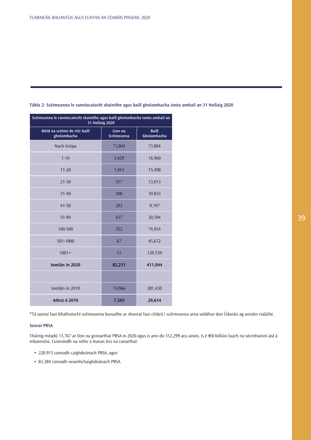| Scéimeanna le ranníocaíocht shainithe agus baill ghníomhacha iontu amhail an<br><b>31 Nollaig 2020</b> |                       |                             |  |  |
|--------------------------------------------------------------------------------------------------------|-----------------------|-----------------------------|--|--|
| Méid na scéime de réir baill<br>ghníomhacha                                                            | Líon na<br>Scéimeanna | <b>Baill</b><br>Ghníomhacha |  |  |
| Nach Grúpa                                                                                             | 73,804                | 73,804                      |  |  |
| $1 - 10$                                                                                               | 5,429                 | 16,960                      |  |  |
| $11 - 20$                                                                                              | 1,043                 | 15,498                      |  |  |
| $21 - 30$                                                                                              | 517                   | 13,013                      |  |  |
| $31 - 40$                                                                                              | 308                   | 10,833                      |  |  |
| $41 - 50$                                                                                              | 203                   | 9,197                       |  |  |
| 51-99                                                                                                  | 437                   | 30,594                      |  |  |
| 100-500                                                                                                | 352                   | 74,934                      |  |  |
| 501-1000                                                                                               | 67                    | 45,672                      |  |  |
| $1001 +$                                                                                               | 51                    | 120,539                     |  |  |
| Iomlán in 2020                                                                                         | 82,211                | 411,044                     |  |  |
|                                                                                                        |                       |                             |  |  |
| Iomlán in 2019                                                                                         | 74,866                | 381,430                     |  |  |
| Athrú ó 2019<br>29,614<br>7,345                                                                        |                       |                             |  |  |

**Tábla 2: Scéimeanna le ranníocaíocht shainithe agus baill ghníomhacha iontu amhail an 31 Nollaig 2020**

\*Tá sonraí faoi bhallraíocht scéimeanna bunaithe ar shonraí faoi chlárú i scéimeanna arna soláthar don Údaráis ag aonáin rialáilte.

## **Sonraí PRSA**

Tháinig méadú 13,767 ar líon na gconarthaí PRSA in 2020 agus is ann do 312,299 acu anois. Is é €8 billiún luach na sócmhainní atá á mbainistiú. Cuimsíodh na nithe a leanas leis na conarthaí:

- 228,915 conradh caighdeánach PRSA, agus
- 83,384 conradh neamhchaighdeánach PRSA.